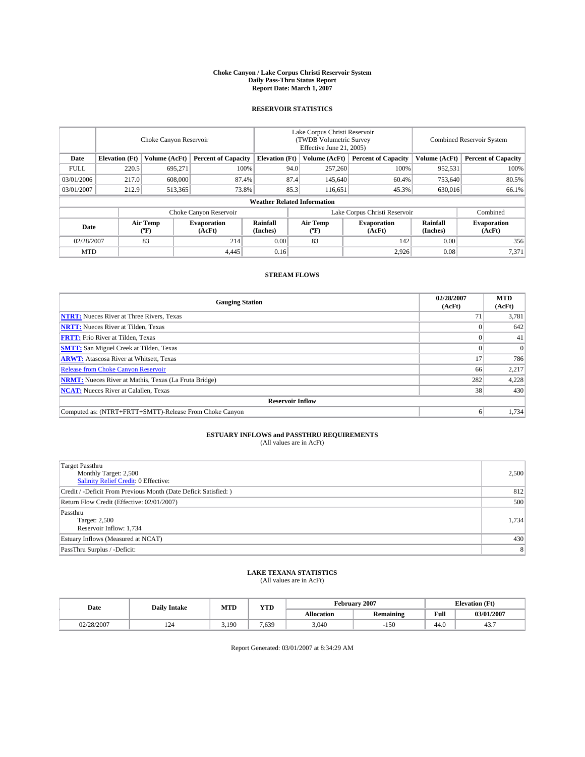#### **Choke Canyon / Lake Corpus Christi Reservoir System Daily Pass-Thru Status Report Report Date: March 1, 2007**

## **RESERVOIR STATISTICS**

|             | Choke Canyon Reservoir             |                  |                              |                             | Lake Corpus Christi Reservoir<br>(TWDB Volumetric Survey<br>Effective June 21, 2005) |                  |                              | <b>Combined Reservoir System</b> |                              |  |  |
|-------------|------------------------------------|------------------|------------------------------|-----------------------------|--------------------------------------------------------------------------------------|------------------|------------------------------|----------------------------------|------------------------------|--|--|
| Date        | <b>Elevation</b> (Ft)              | Volume (AcFt)    | <b>Percent of Capacity</b>   | <b>Elevation</b> (Ft)       |                                                                                      | Volume (AcFt)    | <b>Percent of Capacity</b>   | Volume (AcFt)                    | <b>Percent of Capacity</b>   |  |  |
| <b>FULL</b> | 220.5                              | 695.271          |                              | 100%                        | 94.0                                                                                 | 257,260          | 100%                         | 952,531                          | 100%                         |  |  |
| 03/01/2006  | 217.0                              | 608,000          | 87.4%                        |                             | 87.4                                                                                 | 145,640          | 60.4%                        | 753,640                          | 80.5%                        |  |  |
| 03/01/2007  | 212.9                              | 513,365          | 73.8%                        |                             | 85.3                                                                                 | 116.651          | 45.3%                        | 630,016                          | 66.1%                        |  |  |
|             | <b>Weather Related Information</b> |                  |                              |                             |                                                                                      |                  |                              |                                  |                              |  |  |
|             |                                    |                  | Choke Canyon Reservoir       |                             | Lake Corpus Christi Reservoir                                                        |                  |                              |                                  | Combined                     |  |  |
| Date        |                                    | Air Temp<br>(°F) | <b>Evaporation</b><br>(AcFt) | <b>Rainfall</b><br>(Inches) |                                                                                      | Air Temp<br>("F) | <b>Evaporation</b><br>(AcFt) | Rainfall<br>(Inches)             | <b>Evaporation</b><br>(AcFt) |  |  |
| 02/28/2007  |                                    | 83               | 214                          | 0.00                        |                                                                                      | 83               | 142                          | 0.00                             | 356                          |  |  |
| <b>MTD</b>  |                                    |                  | 4,445                        | 0.16                        |                                                                                      |                  | 2,926                        | 0.08                             | 7,371                        |  |  |

## **STREAM FLOWS**

| <b>Gauging Station</b>                                       | 02/28/2007<br>(AcFt) | <b>MTD</b><br>(AcFt) |
|--------------------------------------------------------------|----------------------|----------------------|
| <b>NTRT:</b> Nueces River at Three Rivers, Texas             |                      | 3,781                |
| <b>NRTT:</b> Nueces River at Tilden, Texas                   |                      | 642                  |
| <b>FRTT:</b> Frio River at Tilden, Texas                     |                      | 41                   |
| <b>SMTT:</b> San Miguel Creek at Tilden, Texas               |                      | $\Omega$             |
| <b>ARWT:</b> Atascosa River at Whitsett, Texas               | 17                   | 786                  |
| <b>Release from Choke Canyon Reservoir</b>                   | 66                   | 2,217                |
| <b>NRMT:</b> Nueces River at Mathis, Texas (La Fruta Bridge) | 282                  | 4,228                |
| <b>NCAT:</b> Nueces River at Calallen, Texas                 | 38                   | 430                  |
| <b>Reservoir Inflow</b>                                      |                      |                      |
| Computed as: (NTRT+FRTT+SMTT)-Release From Choke Canyon      | 6                    | 1,734                |

## **ESTUARY INFLOWS and PASSTHRU REQUIREMENTS**<br>(All values are in AcFt)

| <b>Target Passthru</b><br>Monthly Target: 2,500<br>Salinity Relief Credit: 0 Effective: | 2,500          |
|-----------------------------------------------------------------------------------------|----------------|
| Credit / -Deficit From Previous Month (Date Deficit Satisfied: )                        | 812            |
| Return Flow Credit (Effective: 02/01/2007)                                              | 500            |
| Passthru<br>Target: 2,500<br>Reservoir Inflow: 1,734                                    | 1,734          |
| Estuary Inflows (Measured at NCAT)                                                      | 430            |
| PassThru Surplus / -Deficit:                                                            | 8 <sup>1</sup> |

# **LAKE TEXANA STATISTICS** (All values are in AcFt)

|  | Date       | <b>Daily Intake</b> | <b>MTD</b> | YTD  |            | February 2007    | <b>Elevation</b> (Ft) |            |
|--|------------|---------------------|------------|------|------------|------------------|-----------------------|------------|
|  |            |                     |            |      | Allocation | <b>Remaining</b> | Full                  | 03/01/2007 |
|  | 02/28/2007 | 124                 | 3.190      | .639 | 3,040      | 0 ج ا<br>1.JU    | 44.0                  | 4.3        |

Report Generated: 03/01/2007 at 8:34:29 AM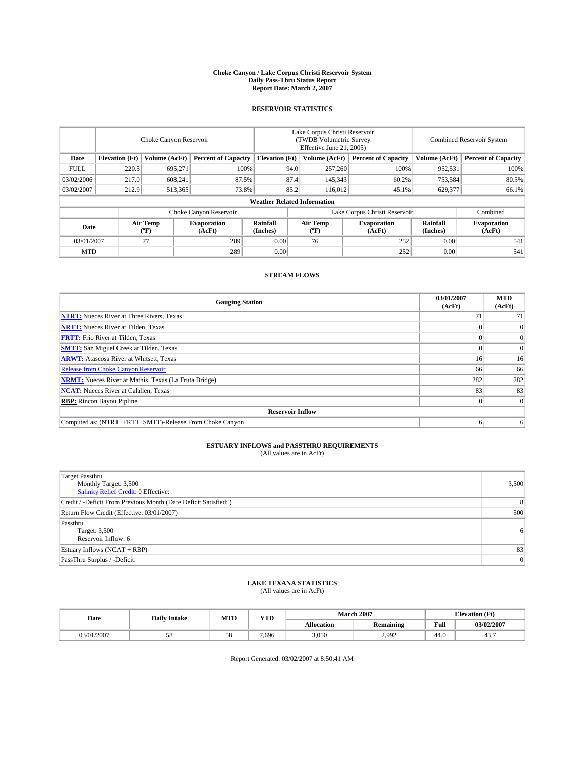#### **Choke Canyon / Lake Corpus Christi Reservoir System Daily Pass-Thru Status Report Report Date: March 2, 2007**

## **RESERVOIR STATISTICS**

|             | Choke Canyon Reservoir             |                  |                              |                       | Lake Corpus Christi Reservoir<br>(TWDB Volumetric Survey<br>Effective June 21, 2005) |                  |                              | <b>Combined Reservoir System</b> |                              |  |
|-------------|------------------------------------|------------------|------------------------------|-----------------------|--------------------------------------------------------------------------------------|------------------|------------------------------|----------------------------------|------------------------------|--|
| Date        | <b>Elevation</b> (Ft)              | Volume (AcFt)    | <b>Percent of Capacity</b>   | <b>Elevation</b> (Ft) |                                                                                      | Volume (AcFt)    | <b>Percent of Capacity</b>   | Volume (AcFt)                    | <b>Percent of Capacity</b>   |  |
| <b>FULL</b> | 220.5                              | 695.271          | 100%                         |                       | 94.0                                                                                 | 257,260          | 100%                         | 952,531                          | 100%                         |  |
| 03/02/2006  | 217.0                              | 608.241          | 87.5%                        |                       | 87.4                                                                                 | 145,343          | 60.2%                        | 753,584                          | 80.5%                        |  |
| 03/02/2007  | 212.9                              | 513,365          | 73.8%                        |                       | 85.2                                                                                 | 116.012          | 45.1%                        | 629,377                          | 66.1%                        |  |
|             | <b>Weather Related Information</b> |                  |                              |                       |                                                                                      |                  |                              |                                  |                              |  |
|             |                                    |                  | Choke Canyon Reservoir       |                       | Lake Corpus Christi Reservoir                                                        |                  |                              |                                  | Combined                     |  |
| Date        |                                    | Air Temp<br>(°F) | <b>Evaporation</b><br>(AcFt) | Rainfall<br>(Inches)  |                                                                                      | Air Temp<br>("F) | <b>Evaporation</b><br>(AcFt) | Rainfall<br>(Inches)             | <b>Evaporation</b><br>(AcFt) |  |
| 03/01/2007  |                                    | 77               | 289                          | 0.00                  |                                                                                      | 76               | 252                          | 0.00                             | 541                          |  |
| <b>MTD</b>  |                                    |                  | 289                          | 0.00                  |                                                                                      |                  | 252                          | 0.00                             | 541                          |  |

## **STREAM FLOWS**

| <b>Gauging Station</b>                                       | 03/01/2007<br>(AcFt) | <b>MTD</b><br>(AcFt) |
|--------------------------------------------------------------|----------------------|----------------------|
| <b>NTRT:</b> Nueces River at Three Rivers, Texas             |                      | 71                   |
| <b>NRTT:</b> Nueces River at Tilden, Texas                   |                      | $\Omega$             |
| <b>FRTT:</b> Frio River at Tilden, Texas                     |                      | $\Omega$             |
| <b>SMTT:</b> San Miguel Creek at Tilden, Texas               |                      | $\overline{0}$       |
| <b>ARWT:</b> Atascosa River at Whitsett, Texas               | 16                   | 16 <sup>1</sup>      |
| <b>Release from Choke Canyon Reservoir</b>                   | 66                   | 66                   |
| <b>NRMT:</b> Nueces River at Mathis, Texas (La Fruta Bridge) | 282                  | 282                  |
| <b>NCAT:</b> Nueces River at Calallen, Texas                 | 83                   | 83                   |
| <b>RBP:</b> Rincon Bayou Pipline                             |                      | $\Omega$             |
| <b>Reservoir Inflow</b>                                      |                      |                      |
| Computed as: (NTRT+FRTT+SMTT)-Release From Choke Canyon      |                      | 6                    |

# **ESTUARY INFLOWS and PASSTHRU REQUIREMENTS**<br>(All values are in AcFt)

| Target Passthru<br>Monthly Target: 3,500<br><b>Salinity Relief Credit: 0 Effective:</b> | 3,500          |
|-----------------------------------------------------------------------------------------|----------------|
| Credit / -Deficit From Previous Month (Date Deficit Satisfied: )                        | 8 <sup>1</sup> |
| Return Flow Credit (Effective: 03/01/2007)                                              | 500            |
| Passthru<br>Target: 3,500<br>Reservoir Inflow: 6                                        | 6 <sup>1</sup> |
| Estuary Inflows (NCAT + RBP)                                                            | 83             |
| PassThru Surplus / -Deficit:                                                            | 0              |

## **LAKE TEXANA STATISTICS** (All values are in AcFt)

| Date       | <b>Daily Intake</b> | MTD | YTD   |                   | <b>March 2007</b> | <b>Elevation</b> (Ft) |            |
|------------|---------------------|-----|-------|-------------------|-------------------|-----------------------|------------|
|            |                     |     |       | <b>Allocation</b> | <b>Remaining</b>  | Full                  | 03/02/2007 |
| 03/01/2007 | სი                  | J0  | 7,696 | 3,050             | 2.992             | 44.0                  | 45.,       |

Report Generated: 03/02/2007 at 8:50:41 AM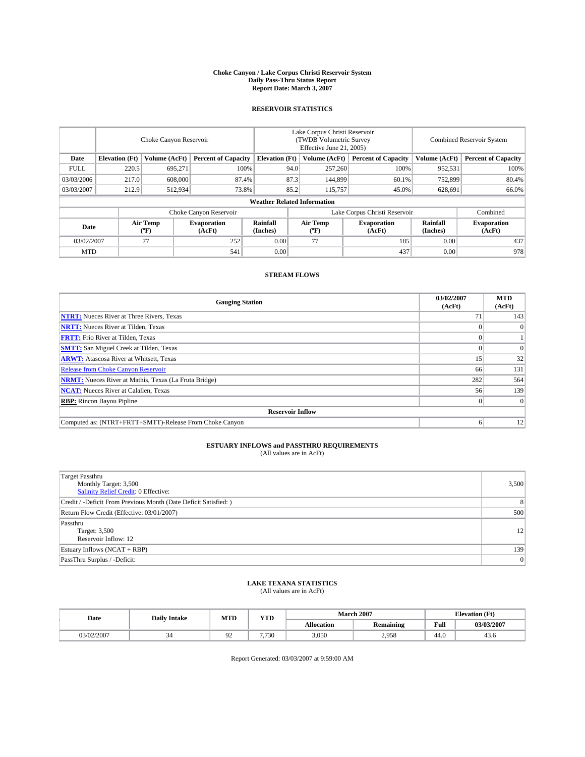#### **Choke Canyon / Lake Corpus Christi Reservoir System Daily Pass-Thru Status Report Report Date: March 3, 2007**

## **RESERVOIR STATISTICS**

|             | Choke Canyon Reservoir             |                  |                              |                       | Lake Corpus Christi Reservoir<br>(TWDB Volumetric Survey<br>Effective June 21, 2005) |                  |                               | <b>Combined Reservoir System</b> |                              |  |
|-------------|------------------------------------|------------------|------------------------------|-----------------------|--------------------------------------------------------------------------------------|------------------|-------------------------------|----------------------------------|------------------------------|--|
| Date        | <b>Elevation</b> (Ft)              | Volume (AcFt)    | <b>Percent of Capacity</b>   | <b>Elevation</b> (Ft) |                                                                                      | Volume (AcFt)    | <b>Percent of Capacity</b>    | Volume (AcFt)                    | <b>Percent of Capacity</b>   |  |
| <b>FULL</b> | 220.5                              | 695.271          | 100%                         |                       | 94.0                                                                                 | 257,260          | 100%                          | 952,531                          | 100%                         |  |
| 03/03/2006  | 217.0                              | 608,000          | 87.4%                        |                       | 87.3                                                                                 | 144,899          | 60.1%                         | 752,899                          | 80.4%                        |  |
| 03/03/2007  | 212.9                              | 512,934          | 73.8%                        |                       | 85.2                                                                                 | 115,757          | 45.0%                         | 628,691                          | 66.0%                        |  |
|             | <b>Weather Related Information</b> |                  |                              |                       |                                                                                      |                  |                               |                                  |                              |  |
|             |                                    |                  | Choke Canyon Reservoir       |                       |                                                                                      |                  | Lake Corpus Christi Reservoir |                                  | Combined                     |  |
| Date        |                                    | Air Temp<br>(°F) | <b>Evaporation</b><br>(AcFt) | Rainfall<br>(Inches)  |                                                                                      | Air Temp<br>("F) | <b>Evaporation</b><br>(AcFt)  | Rainfall<br>(Inches)             | <b>Evaporation</b><br>(AcFt) |  |
| 03/02/2007  |                                    | 77               | 252                          | 0.00                  |                                                                                      | 77               | 185                           | 0.00                             | 437                          |  |
| <b>MTD</b>  |                                    |                  | 541                          | 0.00                  |                                                                                      |                  | 437                           | 0.00                             | 978                          |  |

## **STREAM FLOWS**

| <b>Gauging Station</b>                                       | 03/02/2007<br>(AcFt) | <b>MTD</b><br>(AcFt) |
|--------------------------------------------------------------|----------------------|----------------------|
| <b>NTRT:</b> Nueces River at Three Rivers, Texas             | 71                   | 143                  |
| <b>NRTT:</b> Nueces River at Tilden, Texas                   |                      | $\Omega$             |
| <b>FRTT:</b> Frio River at Tilden, Texas                     |                      |                      |
| <b>SMTT:</b> San Miguel Creek at Tilden, Texas               |                      | $\Omega$             |
| <b>ARWT:</b> Atascosa River at Whitsett, Texas               | 15                   | 32                   |
| <b>Release from Choke Canyon Reservoir</b>                   | 66                   | 131                  |
| <b>NRMT:</b> Nueces River at Mathis, Texas (La Fruta Bridge) | 282                  | 564                  |
| <b>NCAT:</b> Nueces River at Calallen, Texas                 | 56                   | 139                  |
| <b>RBP:</b> Rincon Bayou Pipline                             |                      | $\Omega$             |
| <b>Reservoir Inflow</b>                                      |                      |                      |
| Computed as: (NTRT+FRTT+SMTT)-Release From Choke Canyon      |                      | 12                   |

# **ESTUARY INFLOWS and PASSTHRU REQUIREMENTS**<br>(All values are in AcFt)

| Target Passthru<br>Monthly Target: 3,500<br><b>Salinity Relief Credit: 0 Effective:</b> | 3,500          |
|-----------------------------------------------------------------------------------------|----------------|
| Credit / -Deficit From Previous Month (Date Deficit Satisfied: )                        | 8              |
| Return Flow Credit (Effective: 03/01/2007)                                              | 500            |
| Passthru<br>Target: 3,500<br>Reservoir Inflow: 12                                       | 12             |
| Estuary Inflows (NCAT + RBP)                                                            | 139            |
| PassThru Surplus / -Deficit:                                                            | $\overline{0}$ |

## **LAKE TEXANA STATISTICS** (All values are in AcFt)

| Date       | <b>Daily Intake</b> | <b>MTD</b> | <b>YTD</b> |                   | <b>March 2007</b> | <b>Elevation</b> (Ft) |            |  |
|------------|---------------------|------------|------------|-------------------|-------------------|-----------------------|------------|--|
|            |                     |            |            | <b>Allocation</b> | <b>Remaining</b>  | Full                  | 03/03/2007 |  |
| 03/02/2007 | 34                  | ч<br>フム    | 7.730      | 3,050             | 2,958             | 44.0                  | 45.0       |  |

Report Generated: 03/03/2007 at 9:59:00 AM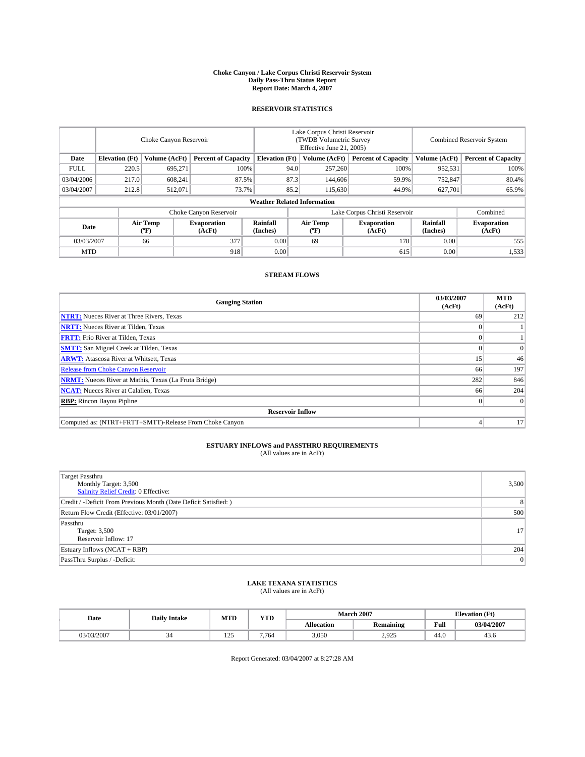#### **Choke Canyon / Lake Corpus Christi Reservoir System Daily Pass-Thru Status Report Report Date: March 4, 2007**

## **RESERVOIR STATISTICS**

|             | Choke Canyon Reservoir             |                  |                              |                             | Lake Corpus Christi Reservoir<br>(TWDB Volumetric Survey<br>Effective June 21, 2005) |                  |                               | <b>Combined Reservoir System</b> |                              |  |
|-------------|------------------------------------|------------------|------------------------------|-----------------------------|--------------------------------------------------------------------------------------|------------------|-------------------------------|----------------------------------|------------------------------|--|
| Date        | <b>Elevation</b> (Ft)              | Volume (AcFt)    | <b>Percent of Capacity</b>   | <b>Elevation</b> (Ft)       |                                                                                      | Volume (AcFt)    | <b>Percent of Capacity</b>    | Volume (AcFt)                    | <b>Percent of Capacity</b>   |  |
| <b>FULL</b> | 220.5                              | 695.271          | 100%                         |                             | 94.0                                                                                 | 257,260          | 100%                          | 952,531                          | 100%                         |  |
| 03/04/2006  | 217.0                              | 608.241          | 87.5%                        |                             | 87.3                                                                                 | 144,606          | 59.9%                         | 752,847                          | 80.4%                        |  |
| 03/04/2007  | 212.8                              | 512,071          | 73.7%                        |                             | 85.2                                                                                 | 115,630          | 44.9%                         | 627,701                          | 65.9%                        |  |
|             | <b>Weather Related Information</b> |                  |                              |                             |                                                                                      |                  |                               |                                  |                              |  |
|             |                                    |                  | Choke Canyon Reservoir       |                             |                                                                                      |                  | Lake Corpus Christi Reservoir |                                  | Combined                     |  |
| Date        |                                    | Air Temp<br>("F) | <b>Evaporation</b><br>(AcFt) | <b>Rainfall</b><br>(Inches) |                                                                                      | Air Temp<br>("F) | <b>Evaporation</b><br>(AcFt)  | Rainfall<br>(Inches)             | <b>Evaporation</b><br>(AcFt) |  |
| 03/03/2007  |                                    | 66               | 377                          | 0.00                        |                                                                                      | 69               | 178                           | 0.00                             | 555                          |  |
| <b>MTD</b>  |                                    |                  | 918                          | 0.00                        |                                                                                      |                  | 615                           | 0.00                             | 1,533                        |  |

## **STREAM FLOWS**

| <b>Gauging Station</b>                                       | 03/03/2007<br>(AcFt) | <b>MTD</b><br>(AcFt) |
|--------------------------------------------------------------|----------------------|----------------------|
| <b>NTRT:</b> Nueces River at Three Rivers, Texas             | 69                   | 212                  |
| <b>NRTT:</b> Nueces River at Tilden, Texas                   |                      |                      |
| <b>FRTT:</b> Frio River at Tilden, Texas                     |                      |                      |
| <b>SMTT:</b> San Miguel Creek at Tilden, Texas               |                      | $\Omega$             |
| <b>ARWT:</b> Atascosa River at Whitsett, Texas               | 15                   | 46                   |
| <b>Release from Choke Canyon Reservoir</b>                   | 66                   | 197                  |
| <b>NRMT:</b> Nueces River at Mathis, Texas (La Fruta Bridge) | 282                  | 846                  |
| <b>NCAT:</b> Nueces River at Calallen, Texas                 | 66                   | 204                  |
| <b>RBP:</b> Rincon Bayou Pipline                             |                      | $\Omega$             |
| <b>Reservoir Inflow</b>                                      |                      |                      |
| Computed as: (NTRT+FRTT+SMTT)-Release From Choke Canyon      |                      | 17                   |

# **ESTUARY INFLOWS and PASSTHRU REQUIREMENTS**<br>(All values are in AcFt)

| Target Passthru<br>Monthly Target: 3,500<br><b>Salinity Relief Credit: 0 Effective:</b> | 3,500          |
|-----------------------------------------------------------------------------------------|----------------|
| Credit / -Deficit From Previous Month (Date Deficit Satisfied: )                        | 8              |
| Return Flow Credit (Effective: 03/01/2007)                                              | 500            |
| Passthru<br>Target: 3,500<br>Reservoir Inflow: 17                                       | 17             |
| Estuary Inflows (NCAT + RBP)                                                            | 204            |
| PassThru Surplus / -Deficit:                                                            | $\overline{0}$ |

## **LAKE TEXANA STATISTICS** (All values are in AcFt)

| Date       | <b>Daily Intake</b> | <b>MTD</b>                   | <b>YTD</b> |                   | <b>March 2007</b> | <b>Elevation</b> (Ft) |            |  |
|------------|---------------------|------------------------------|------------|-------------------|-------------------|-----------------------|------------|--|
|            |                     |                              |            | <b>Allocation</b> | <b>Remaining</b>  | Full                  | 03/04/2007 |  |
| 03/03/2007 | 34                  | $\overline{\Omega}$<br>$+ -$ | 7.764      | 3,050             | 2.925             | 44.0                  | 45.0       |  |

Report Generated: 03/04/2007 at 8:27:28 AM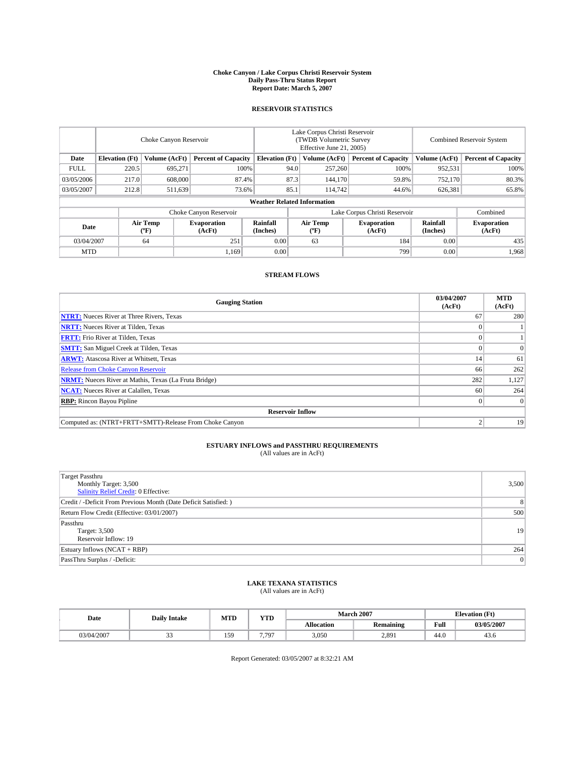#### **Choke Canyon / Lake Corpus Christi Reservoir System Daily Pass-Thru Status Report Report Date: March 5, 2007**

## **RESERVOIR STATISTICS**

|             | Choke Canyon Reservoir             |                  |                              |                       | Lake Corpus Christi Reservoir<br>(TWDB Volumetric Survey<br>Effective June 21, 2005) |                  |                               |                      | Combined Reservoir System    |  |  |
|-------------|------------------------------------|------------------|------------------------------|-----------------------|--------------------------------------------------------------------------------------|------------------|-------------------------------|----------------------|------------------------------|--|--|
| Date        | <b>Elevation</b> (Ft)              | Volume (AcFt)    | <b>Percent of Capacity</b>   | <b>Elevation</b> (Ft) |                                                                                      | Volume (AcFt)    | <b>Percent of Capacity</b>    | Volume (AcFt)        | <b>Percent of Capacity</b>   |  |  |
| <b>FULL</b> | 220.5                              | 695.271          | 100%                         |                       | 94.0                                                                                 | 257,260          | 100%                          | 952,531              | 100%                         |  |  |
| 03/05/2006  | 217.0                              | 608,000          | 87.4%                        |                       | 87.3                                                                                 | 144,170          | 59.8%                         | 752,170              | 80.3%                        |  |  |
| 03/05/2007  | 212.8                              | 511,639          | 73.6%                        |                       | 85.1                                                                                 | 114.742          | 44.6%                         | 626,381              | 65.8%                        |  |  |
|             | <b>Weather Related Information</b> |                  |                              |                       |                                                                                      |                  |                               |                      |                              |  |  |
|             |                                    |                  | Choke Canyon Reservoir       |                       |                                                                                      |                  | Lake Corpus Christi Reservoir |                      | Combined                     |  |  |
| Date        |                                    | Air Temp<br>(°F) | <b>Evaporation</b><br>(AcFt) | Rainfall<br>(Inches)  |                                                                                      | Air Temp<br>("F) | <b>Evaporation</b><br>(AcFt)  | Rainfall<br>(Inches) | <b>Evaporation</b><br>(AcFt) |  |  |
| 03/04/2007  |                                    | 64               | 251                          | 0.00                  |                                                                                      | 63               | 184                           | 0.00                 | 435                          |  |  |
| <b>MTD</b>  |                                    |                  | 1.169                        | 0.00                  |                                                                                      |                  | 799                           | 0.00                 | 1,968                        |  |  |

## **STREAM FLOWS**

| <b>Gauging Station</b>                                       | 03/04/2007<br>(AcFt) | <b>MTD</b><br>(AcFt) |
|--------------------------------------------------------------|----------------------|----------------------|
| <b>NTRT:</b> Nueces River at Three Rivers, Texas             | 67                   | 280                  |
| <b>NRTT:</b> Nueces River at Tilden, Texas                   |                      |                      |
| <b>FRTT:</b> Frio River at Tilden, Texas                     |                      |                      |
| <b>SMTT:</b> San Miguel Creek at Tilden, Texas               |                      | $\Omega$             |
| <b>ARWT:</b> Atascosa River at Whitsett, Texas               | 14                   | 61                   |
| <b>Release from Choke Canyon Reservoir</b>                   | 66                   | 262                  |
| <b>NRMT:</b> Nueces River at Mathis, Texas (La Fruta Bridge) | 282                  | 1,127                |
| <b>NCAT:</b> Nueces River at Calallen, Texas                 | 60                   | 264                  |
| <b>RBP:</b> Rincon Bayou Pipline                             |                      | $\Omega$             |
| <b>Reservoir Inflow</b>                                      |                      |                      |
| Computed as: (NTRT+FRTT+SMTT)-Release From Choke Canyon      |                      | 19                   |

# **ESTUARY INFLOWS and PASSTHRU REQUIREMENTS**<br>(All values are in AcFt)

| Target Passthru<br>Monthly Target: 3,500<br><b>Salinity Relief Credit: 0 Effective:</b> | 3,500          |
|-----------------------------------------------------------------------------------------|----------------|
| Credit / -Deficit From Previous Month (Date Deficit Satisfied: )                        | 8              |
| Return Flow Credit (Effective: 03/01/2007)                                              | 500            |
| Passthru<br>Target: 3,500<br>Reservoir Inflow: 19                                       | 19             |
| Estuary Inflows (NCAT + RBP)                                                            | 264            |
| PassThru Surplus / -Deficit:                                                            | $\overline{0}$ |

## **LAKE TEXANA STATISTICS** (All values are in AcFt)

| Date       | <b>Daily Intake</b> | <b>MTD</b> | <b>YTD</b> | <b>March 2007</b> |                  |      | <b>Elevation</b> (Ft) |  |
|------------|---------------------|------------|------------|-------------------|------------------|------|-----------------------|--|
|            |                     |            |            | <b>Allocation</b> | <b>Remaining</b> | Full | 03/05/2007            |  |
| 03/04/2007 | <u>. .</u>          | 159        | 7.797<br>. | 3,050             | 2,891            | 44.0 | 45.0                  |  |

Report Generated: 03/05/2007 at 8:32:21 AM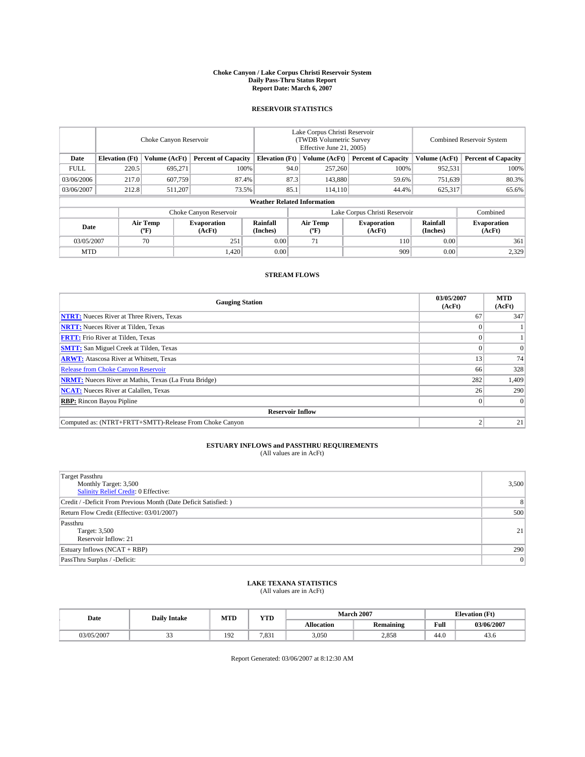#### **Choke Canyon / Lake Corpus Christi Reservoir System Daily Pass-Thru Status Report Report Date: March 6, 2007**

## **RESERVOIR STATISTICS**

|             | Choke Canyon Reservoir             |                  |                              |                       | Lake Corpus Christi Reservoir<br>(TWDB Volumetric Survey<br>Effective June 21, 2005) |                  |                               |                      | Combined Reservoir System    |  |  |
|-------------|------------------------------------|------------------|------------------------------|-----------------------|--------------------------------------------------------------------------------------|------------------|-------------------------------|----------------------|------------------------------|--|--|
| Date        | <b>Elevation</b> (Ft)              | Volume (AcFt)    | <b>Percent of Capacity</b>   | <b>Elevation</b> (Ft) |                                                                                      | Volume (AcFt)    | <b>Percent of Capacity</b>    | Volume (AcFt)        | <b>Percent of Capacity</b>   |  |  |
| <b>FULL</b> | 220.5                              | 695.271          | 100%                         |                       | 94.0                                                                                 | 257,260          | 100%                          | 952,531              | 100%                         |  |  |
| 03/06/2006  | 217.0                              | 607,759          | 87.4%                        |                       | 87.3                                                                                 | 143,880          | 59.6%                         | 751,639              | 80.3%                        |  |  |
| 03/06/2007  | 212.8                              | 511.207          | 73.5%                        |                       | 85.1                                                                                 | 114.110          | 44.4%                         | 625,317              | 65.6%                        |  |  |
|             | <b>Weather Related Information</b> |                  |                              |                       |                                                                                      |                  |                               |                      |                              |  |  |
|             |                                    |                  | Choke Canyon Reservoir       |                       |                                                                                      |                  | Lake Corpus Christi Reservoir |                      | Combined                     |  |  |
| Date        |                                    | Air Temp<br>(°F) | <b>Evaporation</b><br>(AcFt) | Rainfall<br>(Inches)  |                                                                                      | Air Temp<br>("F) | <b>Evaporation</b><br>(AcFt)  | Rainfall<br>(Inches) | <b>Evaporation</b><br>(AcFt) |  |  |
| 03/05/2007  |                                    | 70               | 251                          | 0.00                  |                                                                                      | 71               | 110                           | 0.00                 | 361                          |  |  |
| <b>MTD</b>  |                                    |                  | 1,420                        | 0.00                  |                                                                                      |                  | 909                           | 0.00                 | 2,329                        |  |  |

## **STREAM FLOWS**

| <b>Gauging Station</b>                                       | 03/05/2007<br>(AcFt) | <b>MTD</b><br>(AcFt) |
|--------------------------------------------------------------|----------------------|----------------------|
| <b>NTRT:</b> Nueces River at Three Rivers, Texas             | 67                   | 347                  |
| <b>NRTT:</b> Nueces River at Tilden, Texas                   |                      |                      |
| <b>FRTT:</b> Frio River at Tilden, Texas                     |                      |                      |
| <b>SMTT:</b> San Miguel Creek at Tilden, Texas               |                      | $\Omega$             |
| <b>ARWT:</b> Atascosa River at Whitsett, Texas               | 13                   | 74                   |
| <b>Release from Choke Canyon Reservoir</b>                   | 66                   | 328                  |
| <b>NRMT:</b> Nueces River at Mathis, Texas (La Fruta Bridge) | 282                  | 1,409                |
| <b>NCAT:</b> Nueces River at Calallen, Texas                 | 26                   | 290                  |
| <b>RBP:</b> Rincon Bayou Pipline                             |                      | $\Omega$             |
| <b>Reservoir Inflow</b>                                      |                      |                      |
| Computed as: (NTRT+FRTT+SMTT)-Release From Choke Canyon      |                      | 21                   |

# **ESTUARY INFLOWS and PASSTHRU REQUIREMENTS**<br>(All values are in AcFt)

| <b>Target Passthru</b><br>Monthly Target: 3,500<br><b>Salinity Relief Credit: 0 Effective:</b> | 3,500          |
|------------------------------------------------------------------------------------------------|----------------|
| Credit / -Deficit From Previous Month (Date Deficit Satisfied: )                               | 8              |
| Return Flow Credit (Effective: 03/01/2007)                                                     | 500            |
| Passthru<br>Target: 3,500<br>Reservoir Inflow: 21                                              | 21             |
| Estuary Inflows (NCAT + RBP)                                                                   | 290            |
| PassThru Surplus / -Deficit:                                                                   | $\overline{0}$ |

# **LAKE TEXANA STATISTICS** (All values are in AcFt)

| Date       | <b>Daily Intake</b> | <b>MTD</b> | <b>YTD</b> |                   | <b>March 2007</b> | <b>Elevation</b> (Ft) |            |  |
|------------|---------------------|------------|------------|-------------------|-------------------|-----------------------|------------|--|
|            |                     |            |            | <b>Allocation</b> | Remaining         | Full                  | 03/06/2007 |  |
| 03/05/2007 | <u>. .</u>          | 192        | 7.831      | 3,050             | 2,858             | 44.0                  | 45.0       |  |

Report Generated: 03/06/2007 at 8:12:30 AM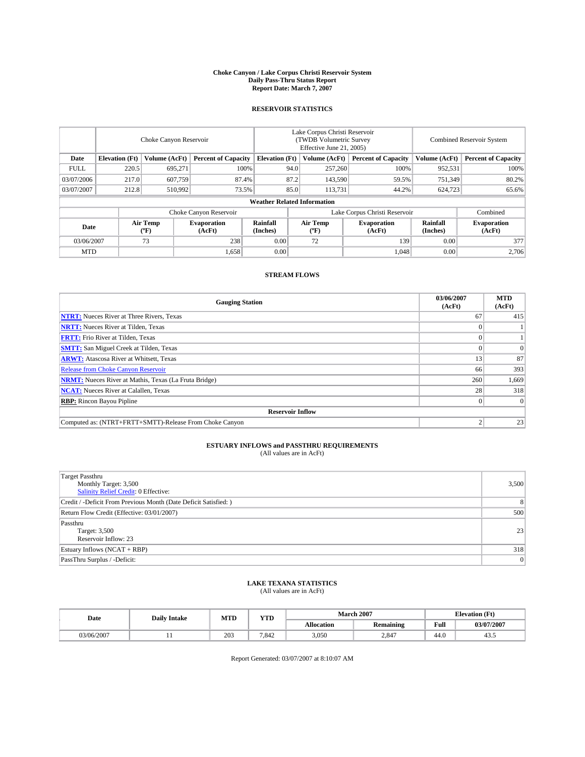#### **Choke Canyon / Lake Corpus Christi Reservoir System Daily Pass-Thru Status Report Report Date: March 7, 2007**

## **RESERVOIR STATISTICS**

|             | Choke Canyon Reservoir             |                  |                              |                       | Lake Corpus Christi Reservoir<br>(TWDB Volumetric Survey<br>Effective June 21, 2005) |                  |                               |                      | Combined Reservoir System    |  |  |
|-------------|------------------------------------|------------------|------------------------------|-----------------------|--------------------------------------------------------------------------------------|------------------|-------------------------------|----------------------|------------------------------|--|--|
| Date        | <b>Elevation</b> (Ft)              | Volume (AcFt)    | <b>Percent of Capacity</b>   | <b>Elevation</b> (Ft) |                                                                                      | Volume (AcFt)    | <b>Percent of Capacity</b>    | Volume (AcFt)        | <b>Percent of Capacity</b>   |  |  |
| <b>FULL</b> | 220.5                              | 695,271          | 100%                         |                       | 94.0                                                                                 | 257,260          | 100%                          | 952,531              | 100%                         |  |  |
| 03/07/2006  | 217.0                              | 607,759          | 87.4%                        |                       | 87.2                                                                                 | 143,590          | 59.5%                         | 751,349              | 80.2%                        |  |  |
| 03/07/2007  | 212.8                              | 510,992          | 73.5%                        |                       | 85.0                                                                                 | 113,731          | 44.2%                         | 624,723              | 65.6%                        |  |  |
|             | <b>Weather Related Information</b> |                  |                              |                       |                                                                                      |                  |                               |                      |                              |  |  |
|             |                                    |                  | Choke Canyon Reservoir       |                       |                                                                                      |                  | Lake Corpus Christi Reservoir |                      | Combined                     |  |  |
| Date        |                                    | Air Temp<br>(°F) | <b>Evaporation</b><br>(AcFt) | Rainfall<br>(Inches)  |                                                                                      | Air Temp<br>("F) | <b>Evaporation</b><br>(AcFt)  | Rainfall<br>(Inches) | <b>Evaporation</b><br>(AcFt) |  |  |
| 03/06/2007  |                                    | 73               | 238                          | 0.00                  |                                                                                      | 72               | 139                           | 0.00                 | 377                          |  |  |
| <b>MTD</b>  |                                    |                  | 1,658                        | 0.00                  |                                                                                      |                  | 1,048                         | 0.00                 | 2,706                        |  |  |

## **STREAM FLOWS**

| <b>Gauging Station</b>                                       | 03/06/2007<br>(AcFt) | <b>MTD</b><br>(AcFt) |
|--------------------------------------------------------------|----------------------|----------------------|
| <b>NTRT:</b> Nueces River at Three Rivers, Texas             | 67                   | 415                  |
| <b>NRTT:</b> Nueces River at Tilden, Texas                   |                      |                      |
| <b>FRTT:</b> Frio River at Tilden, Texas                     |                      |                      |
| <b>SMTT:</b> San Miguel Creek at Tilden, Texas               |                      | $\Omega$             |
| <b>ARWT:</b> Atascosa River at Whitsett, Texas               | 13                   | 87                   |
| <b>Release from Choke Canyon Reservoir</b>                   | 66                   | 393                  |
| <b>NRMT:</b> Nueces River at Mathis, Texas (La Fruta Bridge) | 260                  | 1,669                |
| <b>NCAT:</b> Nueces River at Calallen, Texas                 | 28                   | 318                  |
| <b>RBP:</b> Rincon Bayou Pipline                             |                      | $\Omega$             |
| <b>Reservoir Inflow</b>                                      |                      |                      |
| Computed as: (NTRT+FRTT+SMTT)-Release From Choke Canyon      |                      | 23                   |

# **ESTUARY INFLOWS and PASSTHRU REQUIREMENTS**<br>(All values are in AcFt)

| <b>Target Passthru</b><br>Monthly Target: 3,500<br><b>Salinity Relief Credit: 0 Effective:</b> | 3,500          |
|------------------------------------------------------------------------------------------------|----------------|
| Credit / -Deficit From Previous Month (Date Deficit Satisfied: )                               | 8              |
| Return Flow Credit (Effective: 03/01/2007)                                                     | 500            |
| Passthru<br>Target: 3,500<br>Reservoir Inflow: 23                                              | 23             |
| Estuary Inflows (NCAT + RBP)                                                                   | 318            |
| PassThru Surplus / -Deficit:                                                                   | $\overline{0}$ |

# **LAKE TEXANA STATISTICS** (All values are in AcFt)

| Date       | <b>Daily Intake</b> | <b>MTD</b> | <b>YTD</b> |                   | <b>March 2007</b> | <b>Elevation</b> (Ft) |            |
|------------|---------------------|------------|------------|-------------------|-------------------|-----------------------|------------|
|            |                     |            |            | <b>Allocation</b> | Remaining         | Full                  | 03/07/2007 |
| 03/06/2007 |                     | 203        | 7.842      | 3,050             | 2.847             | 44.0                  | 43.3       |

Report Generated: 03/07/2007 at 8:10:07 AM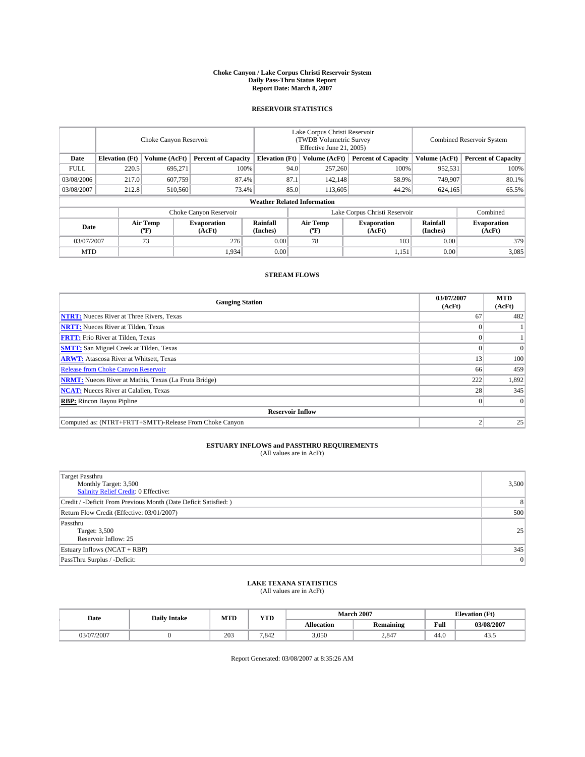#### **Choke Canyon / Lake Corpus Christi Reservoir System Daily Pass-Thru Status Report Report Date: March 8, 2007**

## **RESERVOIR STATISTICS**

|             | Choke Canyon Reservoir             |                  |                              |                       | Lake Corpus Christi Reservoir<br>(TWDB Volumetric Survey<br>Effective June 21, 2005) |                  |                               |                      | <b>Combined Reservoir System</b> |  |  |
|-------------|------------------------------------|------------------|------------------------------|-----------------------|--------------------------------------------------------------------------------------|------------------|-------------------------------|----------------------|----------------------------------|--|--|
| Date        | <b>Elevation</b> (Ft)              | Volume (AcFt)    | <b>Percent of Capacity</b>   | <b>Elevation</b> (Ft) |                                                                                      | Volume (AcFt)    | <b>Percent of Capacity</b>    | Volume (AcFt)        | <b>Percent of Capacity</b>       |  |  |
| <b>FULL</b> | 220.5                              | 695.271          |                              | 100%                  | 94.0                                                                                 | 257,260          | 100%                          | 952,531              | 100%                             |  |  |
| 03/08/2006  | 217.0                              | 607,759          | 87.4%                        |                       | 87.1                                                                                 | 142,148          | 58.9%                         | 749.907              | 80.1%                            |  |  |
| 03/08/2007  | 212.8                              | 510,560          | 73.4%                        |                       | 85.0                                                                                 | 113.605          | 44.2%                         | 624,165              | 65.5%                            |  |  |
|             | <b>Weather Related Information</b> |                  |                              |                       |                                                                                      |                  |                               |                      |                                  |  |  |
|             |                                    |                  | Choke Canyon Reservoir       |                       |                                                                                      |                  | Lake Corpus Christi Reservoir |                      | Combined                         |  |  |
| Date        |                                    | Air Temp<br>(°F) | <b>Evaporation</b><br>(AcFt) | Rainfall<br>(Inches)  |                                                                                      | Air Temp<br>("F) | <b>Evaporation</b><br>(AcFt)  | Rainfall<br>(Inches) | <b>Evaporation</b><br>(AcFt)     |  |  |
| 03/07/2007  |                                    | 73               | 276                          | 0.00                  |                                                                                      | 78               | 103                           | 0.00                 | 379                              |  |  |
| <b>MTD</b>  |                                    |                  | 1,934                        | 0.00                  |                                                                                      |                  | 1,151                         | 0.00                 | 3,085                            |  |  |

## **STREAM FLOWS**

| <b>Gauging Station</b>                                       | 03/07/2007<br>(AcFt) | <b>MTD</b><br>(AcFt) |
|--------------------------------------------------------------|----------------------|----------------------|
| <b>NTRT:</b> Nueces River at Three Rivers, Texas             | 67                   | 482                  |
| <b>NRTT:</b> Nueces River at Tilden, Texas                   |                      |                      |
| <b>FRTT:</b> Frio River at Tilden, Texas                     |                      |                      |
| <b>SMTT:</b> San Miguel Creek at Tilden, Texas               |                      | $\overline{0}$       |
| <b>ARWT:</b> Atascosa River at Whitsett, Texas               | 13                   | 100                  |
| <b>Release from Choke Canyon Reservoir</b>                   | 66                   | 459                  |
| <b>NRMT:</b> Nueces River at Mathis, Texas (La Fruta Bridge) | 222                  | 1,892                |
| <b>NCAT:</b> Nueces River at Calallen, Texas                 | 28                   | 345                  |
| <b>RBP:</b> Rincon Bayou Pipline                             |                      | $\Omega$             |
| <b>Reservoir Inflow</b>                                      |                      |                      |
| Computed as: (NTRT+FRTT+SMTT)-Release From Choke Canyon      |                      | 25                   |

# **ESTUARY INFLOWS and PASSTHRU REQUIREMENTS**<br>(All values are in AcFt)

| Target Passthru<br>Monthly Target: 3,500<br><b>Salinity Relief Credit: 0 Effective:</b> | 3,500          |
|-----------------------------------------------------------------------------------------|----------------|
| Credit / -Deficit From Previous Month (Date Deficit Satisfied: )                        | 8              |
| Return Flow Credit (Effective: 03/01/2007)                                              | 500            |
| Passthru<br>Target: 3,500<br>Reservoir Inflow: 25                                       | 25             |
| Estuary Inflows (NCAT + RBP)                                                            | 345            |
| PassThru Surplus / -Deficit:                                                            | $\overline{0}$ |

## **LAKE TEXANA STATISTICS** (All values are in AcFt)

| Date       | <b>Daily Intake</b> | MTD | <b>YTD</b> |                   | <b>March 2007</b> | <b>Elevation</b> (Ft) |            |
|------------|---------------------|-----|------------|-------------------|-------------------|-----------------------|------------|
|            |                     |     |            | <b>Allocation</b> | <b>Remaining</b>  | Full                  | 03/08/2007 |
| 03/07/2007 |                     | 203 | 7.842      | 3,050             | 2.847             | 44.0                  | 43.3       |

Report Generated: 03/08/2007 at 8:35:26 AM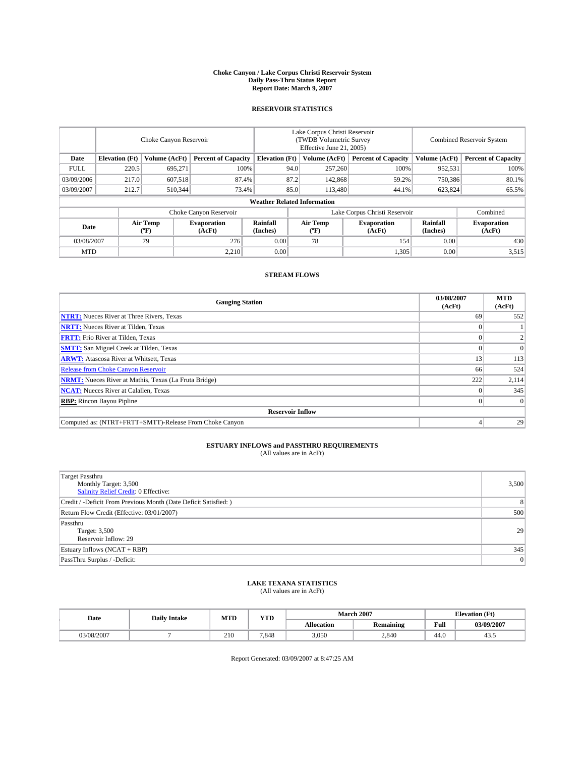#### **Choke Canyon / Lake Corpus Christi Reservoir System Daily Pass-Thru Status Report Report Date: March 9, 2007**

## **RESERVOIR STATISTICS**

|             | Choke Canyon Reservoir             |                  |                              |                       | Lake Corpus Christi Reservoir<br>(TWDB Volumetric Survey<br>Effective June 21, 2005) |                  |                               |                      | Combined Reservoir System    |  |  |
|-------------|------------------------------------|------------------|------------------------------|-----------------------|--------------------------------------------------------------------------------------|------------------|-------------------------------|----------------------|------------------------------|--|--|
| Date        | <b>Elevation</b> (Ft)              | Volume (AcFt)    | <b>Percent of Capacity</b>   | <b>Elevation</b> (Ft) |                                                                                      | Volume (AcFt)    | <b>Percent of Capacity</b>    | Volume (AcFt)        | <b>Percent of Capacity</b>   |  |  |
| <b>FULL</b> | 220.5                              | 695.271          | 100%                         |                       | 94.0                                                                                 | 257,260          | 100%                          | 952,531              | 100%                         |  |  |
| 03/09/2006  | 217.0                              | 607,518          | 87.4%                        |                       | 87.2                                                                                 | 142,868          | 59.2%                         | 750,386              | 80.1%                        |  |  |
| 03/09/2007  | 212.7                              | 510,344          | 73.4%                        |                       | 85.0                                                                                 | 113,480          | 44.1%                         | 623,824              | 65.5%                        |  |  |
|             | <b>Weather Related Information</b> |                  |                              |                       |                                                                                      |                  |                               |                      |                              |  |  |
|             |                                    |                  | Choke Canyon Reservoir       |                       |                                                                                      |                  | Lake Corpus Christi Reservoir |                      | Combined                     |  |  |
| Date        |                                    | Air Temp<br>(°F) | <b>Evaporation</b><br>(AcFt) | Rainfall<br>(Inches)  |                                                                                      | Air Temp<br>("F) | <b>Evaporation</b><br>(AcFt)  | Rainfall<br>(Inches) | <b>Evaporation</b><br>(AcFt) |  |  |
| 03/08/2007  |                                    | 79               | 276                          | 0.00                  |                                                                                      | 78               | 154                           | 0.00                 | 430                          |  |  |
| <b>MTD</b>  |                                    |                  | 2,210                        | 0.00                  |                                                                                      |                  | 1,305                         | 0.00                 | 3,515                        |  |  |

## **STREAM FLOWS**

| <b>Gauging Station</b>                                       | 03/08/2007<br>(AcFt) | <b>MTD</b><br>(AcFt) |
|--------------------------------------------------------------|----------------------|----------------------|
| <b>NTRT:</b> Nueces River at Three Rivers, Texas             | 69                   | 552                  |
| <b>NRTT:</b> Nueces River at Tilden, Texas                   |                      |                      |
| <b>FRTT:</b> Frio River at Tilden, Texas                     |                      |                      |
| <b>SMTT:</b> San Miguel Creek at Tilden, Texas               |                      | $\Omega$             |
| <b>ARWT:</b> Atascosa River at Whitsett, Texas               | 13                   | 113                  |
| <b>Release from Choke Canyon Reservoir</b>                   | 66                   | 524                  |
| <b>NRMT:</b> Nueces River at Mathis, Texas (La Fruta Bridge) | 222                  | 2,114                |
| <b>NCAT:</b> Nueces River at Calallen, Texas                 |                      | 345                  |
| <b>RBP:</b> Rincon Bayou Pipline                             |                      | $\Omega$             |
| <b>Reservoir Inflow</b>                                      |                      |                      |
| Computed as: (NTRT+FRTT+SMTT)-Release From Choke Canyon      |                      | 29                   |

# **ESTUARY INFLOWS and PASSTHRU REQUIREMENTS**<br>(All values are in AcFt)

| Target Passthru<br>Monthly Target: 3,500<br><b>Salinity Relief Credit: 0 Effective:</b> | 3,500          |
|-----------------------------------------------------------------------------------------|----------------|
| Credit / -Deficit From Previous Month (Date Deficit Satisfied: )                        | 8              |
| Return Flow Credit (Effective: 03/01/2007)                                              | 500            |
| Passthru<br>Target: 3,500<br>Reservoir Inflow: 29                                       | 29             |
| Estuary Inflows (NCAT + RBP)                                                            | 345            |
| PassThru Surplus / -Deficit:                                                            | $\overline{0}$ |

# **LAKE TEXANA STATISTICS** (All values are in AcFt)

| Date       | <b>Daily Intake</b> | <b>MTD</b> | <b>YTD</b> | <b>March 2007</b> |                  |      | <b>Elevation</b> (Ft) |  |
|------------|---------------------|------------|------------|-------------------|------------------|------|-----------------------|--|
|            |                     |            |            | Allocation        | <b>Remaining</b> | Full | 03/09/2007            |  |
| 03/08/2007 |                     | 210        | 7.848      | 3,050             | 2.840            | 44.0 | 45.5                  |  |

Report Generated: 03/09/2007 at 8:47:25 AM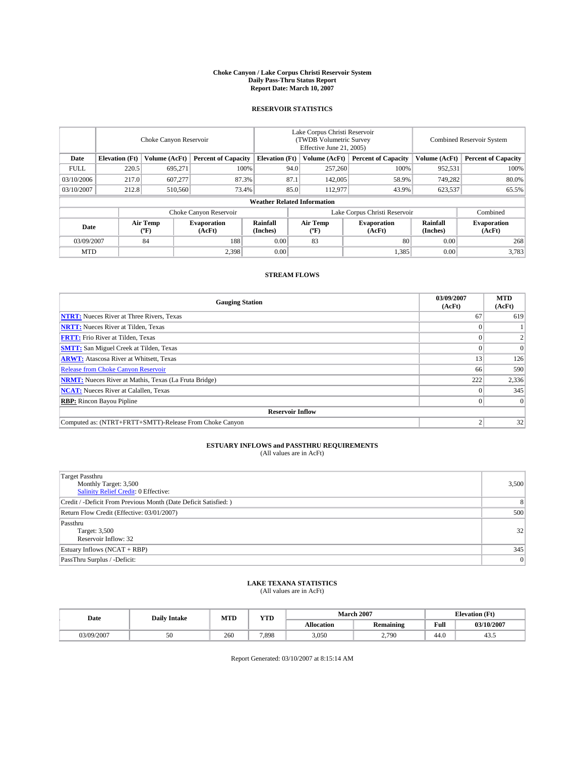#### **Choke Canyon / Lake Corpus Christi Reservoir System Daily Pass-Thru Status Report Report Date: March 10, 2007**

## **RESERVOIR STATISTICS**

|             | Choke Canyon Reservoir             |                  |                              |                             | Lake Corpus Christi Reservoir<br>(TWDB Volumetric Survey<br>Effective June 21, 2005) |                  |                              | <b>Combined Reservoir System</b> |                              |  |
|-------------|------------------------------------|------------------|------------------------------|-----------------------------|--------------------------------------------------------------------------------------|------------------|------------------------------|----------------------------------|------------------------------|--|
| Date        | <b>Elevation</b> (Ft)              | Volume (AcFt)    | <b>Percent of Capacity</b>   | <b>Elevation</b> (Ft)       |                                                                                      | Volume (AcFt)    | <b>Percent of Capacity</b>   | Volume (AcFt)                    | <b>Percent of Capacity</b>   |  |
| <b>FULL</b> | 220.5                              | 695.271          |                              | 100%                        | 94.0                                                                                 | 257,260          | 100%                         | 952,531                          | 100%                         |  |
| 03/10/2006  | 217.0                              | 607,277          | 87.3%                        |                             | 87.1                                                                                 | 142,005          | 58.9%                        | 749,282                          | 80.0%                        |  |
| 03/10/2007  | 212.8                              | 510,560          | 73.4%                        |                             | 85.0                                                                                 | 112,977          | 43.9%                        | 623,537                          | 65.5%                        |  |
|             | <b>Weather Related Information</b> |                  |                              |                             |                                                                                      |                  |                              |                                  |                              |  |
|             |                                    |                  | Choke Canyon Reservoir       |                             | Lake Corpus Christi Reservoir                                                        |                  |                              |                                  | Combined                     |  |
| Date        |                                    | Air Temp<br>(°F) | <b>Evaporation</b><br>(AcFt) | <b>Rainfall</b><br>(Inches) |                                                                                      | Air Temp<br>("F) | <b>Evaporation</b><br>(AcFt) | Rainfall<br>(Inches)             | <b>Evaporation</b><br>(AcFt) |  |
| 03/09/2007  |                                    | 84               | 188                          | 0.00                        |                                                                                      | 83               | 80                           | 0.00                             | 268                          |  |
| <b>MTD</b>  |                                    |                  | 2,398                        | 0.00                        |                                                                                      |                  | 1,385                        | 0.00                             | 3,783                        |  |

## **STREAM FLOWS**

| <b>Gauging Station</b>                                       | 03/09/2007<br>(AcFt) | <b>MTD</b><br>(AcFt) |
|--------------------------------------------------------------|----------------------|----------------------|
| <b>NTRT:</b> Nueces River at Three Rivers, Texas             | 67                   | 619                  |
| <b>NRTT:</b> Nueces River at Tilden, Texas                   |                      |                      |
| <b>FRTT:</b> Frio River at Tilden, Texas                     |                      |                      |
| <b>SMTT:</b> San Miguel Creek at Tilden, Texas               |                      | $\Omega$             |
| <b>ARWT:</b> Atascosa River at Whitsett, Texas               | 13                   | 126                  |
| <b>Release from Choke Canyon Reservoir</b>                   | 66                   | 590                  |
| <b>NRMT:</b> Nueces River at Mathis, Texas (La Fruta Bridge) | 222                  | 2,336                |
| <b>NCAT:</b> Nueces River at Calallen, Texas                 |                      | 345                  |
| <b>RBP:</b> Rincon Bayou Pipline                             |                      | $\Omega$             |
| <b>Reservoir Inflow</b>                                      |                      |                      |
| Computed as: (NTRT+FRTT+SMTT)-Release From Choke Canyon      |                      | 32                   |

# **ESTUARY INFLOWS and PASSTHRU REQUIREMENTS**<br>(All values are in AcFt)

| Target Passthru<br>Monthly Target: 3,500<br>Salinity Relief Credit: 0 Effective: | 3,500          |
|----------------------------------------------------------------------------------|----------------|
| Credit / -Deficit From Previous Month (Date Deficit Satisfied: )                 | 8              |
| Return Flow Credit (Effective: 03/01/2007)                                       | 500            |
| Passthru<br>Target: 3,500<br>Reservoir Inflow: 32                                | 32             |
| Estuary Inflows (NCAT + RBP)                                                     | 345            |
| PassThru Surplus / -Deficit:                                                     | $\overline{0}$ |

## **LAKE TEXANA STATISTICS** (All values are in AcFt)

| Date       | $\mathbf{v}$<br><b>MTD</b><br><b>Daily Intake</b><br>1 I D |       |                   | <b>March 2007</b> | <b>Elevation</b> (Ft) |            |
|------------|------------------------------------------------------------|-------|-------------------|-------------------|-----------------------|------------|
|            |                                                            |       | <b>Allocation</b> | <b>Remaining</b>  | Full                  | 03/10/2007 |
| 03/09/2007 | 260                                                        | 7.898 | 3.050             | 2,790             | 44.0                  | 45.5       |

Report Generated: 03/10/2007 at 8:15:14 AM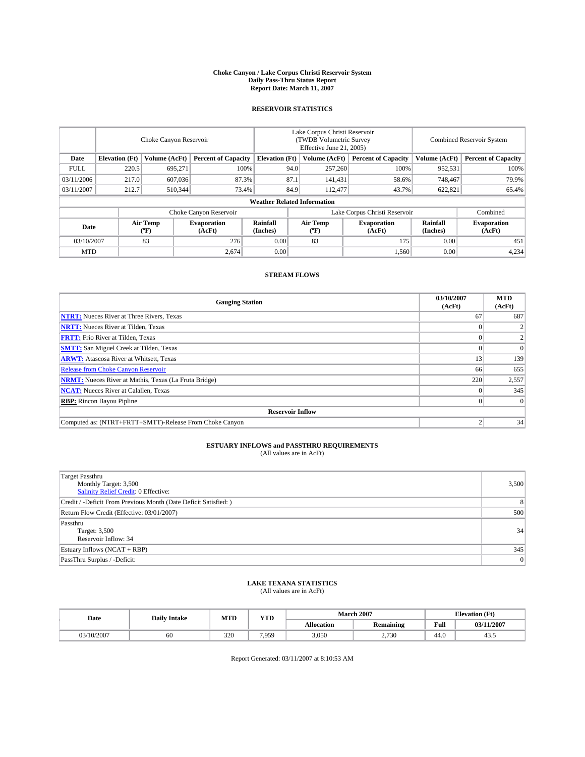#### **Choke Canyon / Lake Corpus Christi Reservoir System Daily Pass-Thru Status Report Report Date: March 11, 2007**

## **RESERVOIR STATISTICS**

|             | Choke Canyon Reservoir             |                  |                              |                       | Lake Corpus Christi Reservoir<br>(TWDB Volumetric Survey<br>Effective June 21, 2005) |                                           |                               | Combined Reservoir System |                              |  |
|-------------|------------------------------------|------------------|------------------------------|-----------------------|--------------------------------------------------------------------------------------|-------------------------------------------|-------------------------------|---------------------------|------------------------------|--|
| Date        | <b>Elevation</b> (Ft)              | Volume (AcFt)    | <b>Percent of Capacity</b>   | <b>Elevation</b> (Ft) |                                                                                      | Volume (AcFt)                             | <b>Percent of Capacity</b>    | Volume (AcFt)             | <b>Percent of Capacity</b>   |  |
| <b>FULL</b> | 220.5                              | 695.271          | 100%                         |                       | 94.0                                                                                 | 257,260                                   | 100%                          | 952,531                   | 100%                         |  |
| 03/11/2006  | 217.0                              | 607,036          | 87.3%                        |                       | 87.1                                                                                 | 141,431                                   | 58.6%                         | 748,467                   | 79.9%                        |  |
| 03/11/2007  | 212.7                              | 510,344          | 73.4%                        |                       | 84.9                                                                                 | 112,477                                   | 43.7%                         | 622,821                   | 65.4%                        |  |
|             | <b>Weather Related Information</b> |                  |                              |                       |                                                                                      |                                           |                               |                           |                              |  |
|             |                                    |                  | Choke Canyon Reservoir       |                       |                                                                                      |                                           | Lake Corpus Christi Reservoir |                           | Combined                     |  |
| Date        |                                    | Air Temp<br>(°F) | <b>Evaporation</b><br>(AcFt) | Rainfall<br>(Inches)  |                                                                                      | Air Temp<br>$({}^{\mathrm{o}}\mathrm{F})$ | <b>Evaporation</b><br>(AcFt)  | Rainfall<br>(Inches)      | <b>Evaporation</b><br>(AcFt) |  |
| 03/10/2007  |                                    | 83               | 276                          | 0.00                  |                                                                                      | 83                                        | 175                           | 0.00                      | 451                          |  |
| <b>MTD</b>  |                                    |                  | 2,674                        | 0.00                  |                                                                                      |                                           | 1,560                         | 0.00                      | 4,234                        |  |

## **STREAM FLOWS**

| <b>Gauging Station</b>                                       | 03/10/2007<br>(AcFt) | <b>MTD</b><br>(AcFt) |
|--------------------------------------------------------------|----------------------|----------------------|
| <b>NTRT:</b> Nueces River at Three Rivers, Texas             | 67                   | 687                  |
| <b>NRTT:</b> Nueces River at Tilden, Texas                   |                      |                      |
| <b>FRTT:</b> Frio River at Tilden, Texas                     |                      |                      |
| <b>SMTT:</b> San Miguel Creek at Tilden, Texas               |                      | $\Omega$             |
| <b>ARWT:</b> Atascosa River at Whitsett, Texas               | 13                   | 139                  |
| <b>Release from Choke Canyon Reservoir</b>                   | 66                   | 655                  |
| <b>NRMT:</b> Nueces River at Mathis, Texas (La Fruta Bridge) | 220                  | 2,557                |
| <b>NCAT:</b> Nueces River at Calallen, Texas                 |                      | 345                  |
| <b>RBP:</b> Rincon Bayou Pipline                             |                      | $\Omega$             |
| <b>Reservoir Inflow</b>                                      |                      |                      |
| Computed as: (NTRT+FRTT+SMTT)-Release From Choke Canyon      |                      | 34                   |

# **ESTUARY INFLOWS and PASSTHRU REQUIREMENTS**<br>(All values are in AcFt)

| Target Passthru<br>Monthly Target: 3,500<br><b>Salinity Relief Credit: 0 Effective:</b> | 3,500          |
|-----------------------------------------------------------------------------------------|----------------|
| Credit / -Deficit From Previous Month (Date Deficit Satisfied: )                        | 8 <sup>1</sup> |
| Return Flow Credit (Effective: 03/01/2007)                                              | 500            |
| Passthru<br>Target: 3,500<br>Reservoir Inflow: 34                                       | 34             |
| Estuary Inflows (NCAT + RBP)                                                            | 345            |
| PassThru Surplus / -Deficit:                                                            | 0              |

# **LAKE TEXANA STATISTICS** (All values are in AcFt)

| Date       | <b>Daily Intake</b> | <b>MTD</b> | $\mathbf{v}$<br>1 I D |                   | <b>March 2007</b> |      | <b>Elevation</b> (Ft) |
|------------|---------------------|------------|-----------------------|-------------------|-------------------|------|-----------------------|
|            |                     |            |                       | <b>Allocation</b> | <b>Remaining</b>  | Full | 03/11/2007            |
| 03/10/2007 | 60                  | 320        | 7.959                 | 3.050             | 2,730             | 44.0 | 45.5                  |

Report Generated: 03/11/2007 at 8:10:53 AM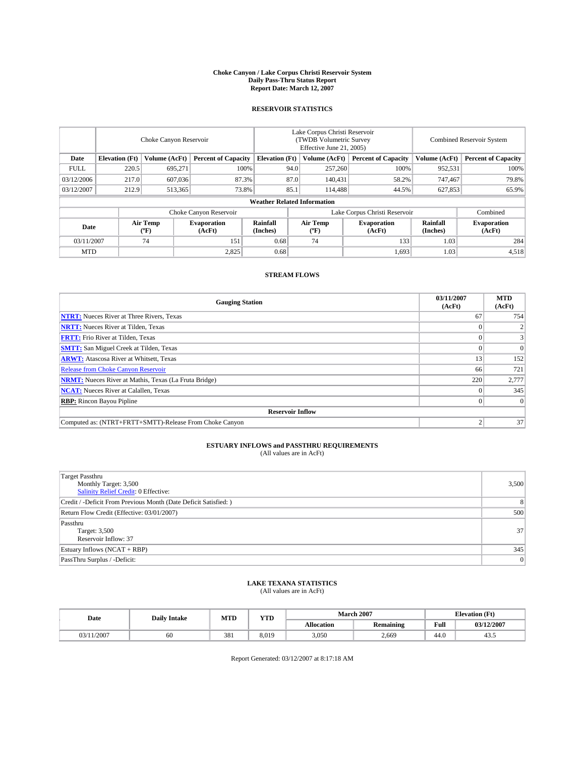#### **Choke Canyon / Lake Corpus Christi Reservoir System Daily Pass-Thru Status Report Report Date: March 12, 2007**

## **RESERVOIR STATISTICS**

|             | Choke Canyon Reservoir             |                  |                              |                       | Lake Corpus Christi Reservoir<br>(TWDB Volumetric Survey<br>Effective June 21, 2005) |                  |                               |                      | Combined Reservoir System    |  |  |
|-------------|------------------------------------|------------------|------------------------------|-----------------------|--------------------------------------------------------------------------------------|------------------|-------------------------------|----------------------|------------------------------|--|--|
| Date        | <b>Elevation</b> (Ft)              | Volume (AcFt)    | <b>Percent of Capacity</b>   | <b>Elevation</b> (Ft) |                                                                                      | Volume (AcFt)    | <b>Percent of Capacity</b>    | Volume (AcFt)        | <b>Percent of Capacity</b>   |  |  |
| <b>FULL</b> | 220.5                              | 695.271          |                              | 100%                  | 94.0                                                                                 | 257,260          | 100%                          | 952,531              | 100%                         |  |  |
| 03/12/2006  | 217.0                              | 607,036          | 87.3%                        |                       | 87.0                                                                                 | 140,431          | 58.2%                         | 747,467              | 79.8%                        |  |  |
| 03/12/2007  | 212.9                              | 513,365          | 73.8%                        |                       | 85.1                                                                                 | 114.488          | 44.5%                         | 627,853              | 65.9%                        |  |  |
|             | <b>Weather Related Information</b> |                  |                              |                       |                                                                                      |                  |                               |                      |                              |  |  |
|             |                                    |                  | Choke Canyon Reservoir       |                       |                                                                                      |                  | Lake Corpus Christi Reservoir |                      | Combined                     |  |  |
| Date        |                                    | Air Temp<br>(°F) | <b>Evaporation</b><br>(AcFt) | Rainfall<br>(Inches)  |                                                                                      | Air Temp<br>("F) | <b>Evaporation</b><br>(AcFt)  | Rainfall<br>(Inches) | <b>Evaporation</b><br>(AcFt) |  |  |
| 03/11/2007  |                                    | 74               | 151                          | 0.68                  |                                                                                      | 74               | 133                           | 1.03                 | 284                          |  |  |
| <b>MTD</b>  |                                    |                  | 2,825                        | 0.68                  |                                                                                      |                  | 1,693                         | 1.03                 | 4,518                        |  |  |

## **STREAM FLOWS**

| <b>Gauging Station</b>                                       | 03/11/2007<br>(AcFt) | <b>MTD</b><br>(AcFt) |
|--------------------------------------------------------------|----------------------|----------------------|
| <b>NTRT:</b> Nueces River at Three Rivers, Texas             | 67                   | 754                  |
| <b>NRTT:</b> Nueces River at Tilden, Texas                   |                      |                      |
| <b>FRTT:</b> Frio River at Tilden, Texas                     |                      |                      |
| <b>SMTT:</b> San Miguel Creek at Tilden, Texas               |                      | $\Omega$             |
| <b>ARWT:</b> Atascosa River at Whitsett, Texas               | 13                   | 152                  |
| <b>Release from Choke Canyon Reservoir</b>                   | 66                   | 721                  |
| <b>NRMT:</b> Nueces River at Mathis, Texas (La Fruta Bridge) | 220                  | 2,777                |
| <b>NCAT:</b> Nueces River at Calallen, Texas                 |                      | 345                  |
| <b>RBP:</b> Rincon Bayou Pipline                             |                      | $\Omega$             |
| <b>Reservoir Inflow</b>                                      |                      |                      |
| Computed as: (NTRT+FRTT+SMTT)-Release From Choke Canyon      |                      | 37                   |

# **ESTUARY INFLOWS and PASSTHRU REQUIREMENTS**<br>(All values are in AcFt)

| <b>Target Passthru</b><br>Monthly Target: 3,500<br><b>Salinity Relief Credit: 0 Effective:</b> | 3,500          |
|------------------------------------------------------------------------------------------------|----------------|
| Credit / -Deficit From Previous Month (Date Deficit Satisfied: )                               | 8              |
| Return Flow Credit (Effective: 03/01/2007)                                                     | 500            |
| Passthru<br>Target: 3,500<br>Reservoir Inflow: 37                                              | 37             |
| Estuary Inflows (NCAT + RBP)                                                                   | 345            |
| PassThru Surplus / -Deficit:                                                                   | $\overline{0}$ |

# **LAKE TEXANA STATISTICS** (All values are in AcFt)

| Date       | <b>Daily Intake</b> | <b>MTD</b> | <b>YTD</b> |                   | <b>March 2007</b> | <b>Elevation</b> (Ft) |            |  |
|------------|---------------------|------------|------------|-------------------|-------------------|-----------------------|------------|--|
|            |                     |            |            | <b>Allocation</b> | <b>Remaining</b>  | Full                  | 03/12/2007 |  |
| 03/11/2007 | 60                  | 381        | 8.019      | 3,050             | 2.669             | 44.0                  | 45.5       |  |

Report Generated: 03/12/2007 at 8:17:18 AM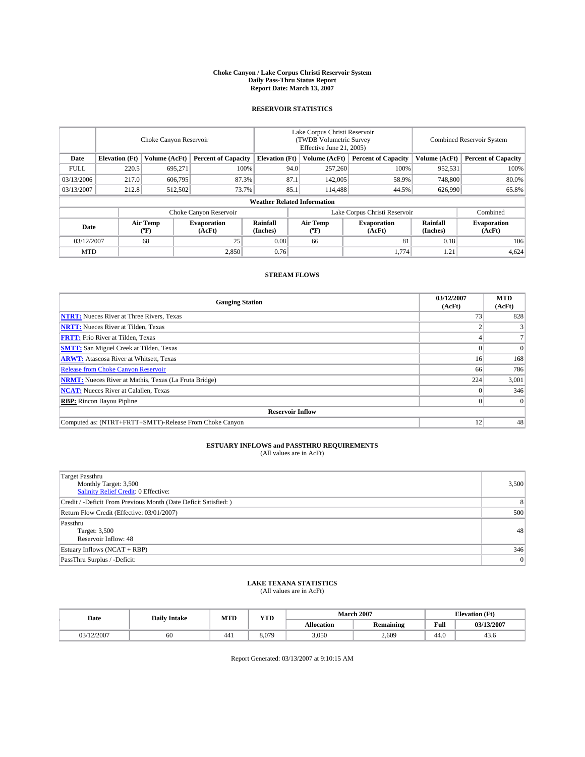#### **Choke Canyon / Lake Corpus Christi Reservoir System Daily Pass-Thru Status Report Report Date: March 13, 2007**

## **RESERVOIR STATISTICS**

|             | Choke Canyon Reservoir             |                  |                              |                       | Lake Corpus Christi Reservoir<br>(TWDB Volumetric Survey<br>Effective June 21, 2005) |                                           |                              |                      | Combined Reservoir System    |  |  |
|-------------|------------------------------------|------------------|------------------------------|-----------------------|--------------------------------------------------------------------------------------|-------------------------------------------|------------------------------|----------------------|------------------------------|--|--|
| Date        | <b>Elevation</b> (Ft)              | Volume (AcFt)    | <b>Percent of Capacity</b>   | <b>Elevation</b> (Ft) |                                                                                      | Volume (AcFt)                             | <b>Percent of Capacity</b>   | Volume (AcFt)        | <b>Percent of Capacity</b>   |  |  |
| <b>FULL</b> | 220.5                              | 695.271          | 100%                         |                       | 94.0                                                                                 | 257,260                                   | 100%                         | 952,531              | 100%                         |  |  |
| 03/13/2006  | 217.0                              | 606,795          | 87.3%                        |                       | 87.1                                                                                 | 142,005                                   | 58.9%                        | 748,800              | 80.0%                        |  |  |
| 03/13/2007  | 212.8                              | 512,502          | 73.7%                        |                       | 85.1                                                                                 | 114.488                                   | 44.5%                        | 626,990              | 65.8%                        |  |  |
|             | <b>Weather Related Information</b> |                  |                              |                       |                                                                                      |                                           |                              |                      |                              |  |  |
|             |                                    |                  | Choke Canyon Reservoir       |                       | Lake Corpus Christi Reservoir                                                        |                                           |                              |                      | Combined                     |  |  |
| Date        |                                    | Air Temp<br>(°F) | <b>Evaporation</b><br>(AcFt) | Rainfall<br>(Inches)  |                                                                                      | Air Temp<br>$({}^{\mathrm{o}}\mathrm{F})$ | <b>Evaporation</b><br>(AcFt) | Rainfall<br>(Inches) | <b>Evaporation</b><br>(AcFt) |  |  |
| 03/12/2007  |                                    | 68               | 25                           | 0.08                  |                                                                                      | 66                                        | 81                           | 0.18                 | 106                          |  |  |
| <b>MTD</b>  |                                    |                  | 2,850                        | 0.76                  |                                                                                      |                                           | 1,774                        | 1.21                 | 4,624                        |  |  |

## **STREAM FLOWS**

| <b>Gauging Station</b>                                       | 03/12/2007<br>(AcFt) | <b>MTD</b><br>(AcFt) |
|--------------------------------------------------------------|----------------------|----------------------|
| <b>NTRT:</b> Nueces River at Three Rivers, Texas             | 73                   | 828                  |
| <b>NRTT:</b> Nueces River at Tilden, Texas                   |                      |                      |
| <b>FRTT:</b> Frio River at Tilden, Texas                     |                      |                      |
| <b>SMTT:</b> San Miguel Creek at Tilden, Texas               |                      | $\Omega$             |
| <b>ARWT:</b> Atascosa River at Whitsett, Texas               | 16                   | 168                  |
| <b>Release from Choke Canyon Reservoir</b>                   | 66                   | 786                  |
| <b>NRMT:</b> Nueces River at Mathis, Texas (La Fruta Bridge) | 224                  | 3,001                |
| <b>NCAT:</b> Nueces River at Calallen, Texas                 |                      | 346                  |
| <b>RBP:</b> Rincon Bayou Pipline                             |                      | $\Omega$             |
| <b>Reservoir Inflow</b>                                      |                      |                      |
| Computed as: (NTRT+FRTT+SMTT)-Release From Choke Canyon      | 12                   | 48                   |

# **ESTUARY INFLOWS and PASSTHRU REQUIREMENTS**<br>(All values are in AcFt)

| Target Passthru<br>Monthly Target: 3,500<br>Salinity Relief Credit: 0 Effective: | 3,500          |
|----------------------------------------------------------------------------------|----------------|
| Credit / -Deficit From Previous Month (Date Deficit Satisfied: )                 | 8              |
| Return Flow Credit (Effective: 03/01/2007)                                       | 500            |
| Passthru<br>Target: 3,500<br>Reservoir Inflow: 48                                | 48             |
| Estuary Inflows (NCAT + RBP)                                                     | 346            |
| PassThru Surplus / -Deficit:                                                     | $\overline{0}$ |

# **LAKE TEXANA STATISTICS** (All values are in AcFt)

| Date       | <b>Daily Intake</b> | <b>MTD</b> | <b>YTD</b> |                   | <b>March 2007</b> | <b>Elevation</b> (Ft) |            |
|------------|---------------------|------------|------------|-------------------|-------------------|-----------------------|------------|
|            |                     |            |            | <b>Allocation</b> | <b>Remaining</b>  | Full                  | 03/13/2007 |
| 03/12/2007 | 60                  | $44_1$     | 8.079      | 3,050             | 2.609             | 44.0                  | 45.0       |

Report Generated: 03/13/2007 at 9:10:15 AM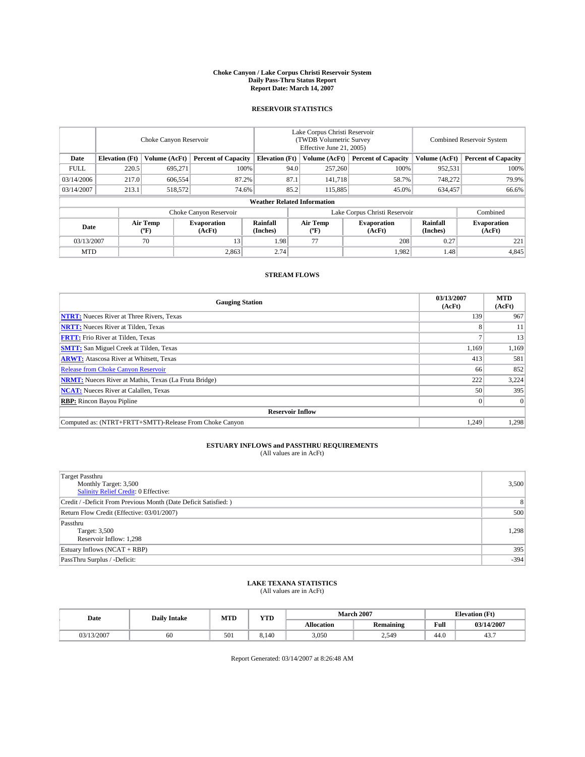#### **Choke Canyon / Lake Corpus Christi Reservoir System Daily Pass-Thru Status Report Report Date: March 14, 2007**

## **RESERVOIR STATISTICS**

|             | Choke Canyon Reservoir             |                               |                              |                       | Lake Corpus Christi Reservoir<br>(TWDB Volumetric Survey<br>Effective June 21, 2005) |                  |                              |                      | <b>Combined Reservoir System</b> |  |  |
|-------------|------------------------------------|-------------------------------|------------------------------|-----------------------|--------------------------------------------------------------------------------------|------------------|------------------------------|----------------------|----------------------------------|--|--|
| Date        | <b>Elevation</b> (Ft)              | Volume (AcFt)                 | <b>Percent of Capacity</b>   | <b>Elevation</b> (Ft) |                                                                                      | Volume (AcFt)    | <b>Percent of Capacity</b>   | Volume (AcFt)        | <b>Percent of Capacity</b>       |  |  |
| <b>FULL</b> | 220.5                              | 695.271                       | 100%                         |                       | 94.0                                                                                 | 257,260          | 100%                         | 952,531              | 100%                             |  |  |
| 03/14/2006  | 217.0                              | 606,554                       | 87.2%                        |                       | 87.1                                                                                 | 141,718          | 58.7%                        | 748,272              | 79.9%                            |  |  |
| 03/14/2007  | 213.1                              | 518,572                       | 74.6%                        |                       | 85.2                                                                                 | 115,885          | 45.0%                        | 634,457              | 66.6%                            |  |  |
|             | <b>Weather Related Information</b> |                               |                              |                       |                                                                                      |                  |                              |                      |                                  |  |  |
|             |                                    | Lake Corpus Christi Reservoir |                              |                       |                                                                                      | Combined         |                              |                      |                                  |  |  |
| Date        |                                    | Air Temp<br>(°F)              | <b>Evaporation</b><br>(AcFt) | Rainfall<br>(Inches)  |                                                                                      | Air Temp<br>("F) | <b>Evaporation</b><br>(AcFt) | Rainfall<br>(Inches) | <b>Evaporation</b><br>(AcFt)     |  |  |
| 03/13/2007  |                                    | 70                            | 13                           | 1.98                  |                                                                                      | 77               | 208                          | 0.27                 | 221                              |  |  |
| <b>MTD</b>  |                                    |                               | 2,863                        | 2.74                  |                                                                                      |                  | 1,982                        | 1.48                 | 4,845                            |  |  |

## **STREAM FLOWS**

| <b>Gauging Station</b>                                       | 03/13/2007<br>(AcFt) | <b>MTD</b><br>(AcFt) |
|--------------------------------------------------------------|----------------------|----------------------|
| <b>NTRT:</b> Nueces River at Three Rivers, Texas             | 139                  | 967                  |
| <b>NRTT:</b> Nueces River at Tilden, Texas                   | 8                    | 11                   |
| <b>FRTT:</b> Frio River at Tilden, Texas                     |                      | 13                   |
| <b>SMTT:</b> San Miguel Creek at Tilden, Texas               | 1,169                | 1,169                |
| <b>ARWT:</b> Atascosa River at Whitsett, Texas               | 413                  | 581                  |
| <b>Release from Choke Canyon Reservoir</b>                   | 66                   | 852                  |
| <b>NRMT:</b> Nueces River at Mathis, Texas (La Fruta Bridge) | 222                  | 3,224                |
| <b>NCAT:</b> Nueces River at Calallen, Texas                 | 50                   | 395                  |
| <b>RBP:</b> Rincon Bayou Pipline                             |                      | $\Omega$             |
| <b>Reservoir Inflow</b>                                      |                      |                      |
| Computed as: (NTRT+FRTT+SMTT)-Release From Choke Canyon      | 1.249                | 1,298                |

# **ESTUARY INFLOWS and PASSTHRU REQUIREMENTS**<br>(All values are in AcFt)

| <b>Target Passthru</b><br>Monthly Target: 3,500<br>Salinity Relief Credit: 0 Effective: | 3,500  |
|-----------------------------------------------------------------------------------------|--------|
| Credit / -Deficit From Previous Month (Date Deficit Satisfied: )                        | 8      |
| Return Flow Credit (Effective: 03/01/2007)                                              | 500    |
| Passthru<br>Target: 3,500<br>Reservoir Inflow: 1,298                                    | 1.298  |
| Estuary Inflows (NCAT + RBP)                                                            | 395    |
| PassThru Surplus / -Deficit:                                                            | $-394$ |

# **LAKE TEXANA STATISTICS** (All values are in AcFt)

| Date       | <b>Daily Intake</b> | <b>MTD</b> | $\mathbf{v}$<br>1 I D |                   | <b>March 2007</b> | <b>Elevation</b> (Ft) |            |
|------------|---------------------|------------|-----------------------|-------------------|-------------------|-----------------------|------------|
|            |                     |            |                       | <b>Allocation</b> | <b>Remaining</b>  | Full                  | 03/14/2007 |
| 03/13/2007 | 60                  | 501        | 8.140                 | 3.050             | 2,549             | 44.0                  | 45         |

Report Generated: 03/14/2007 at 8:26:48 AM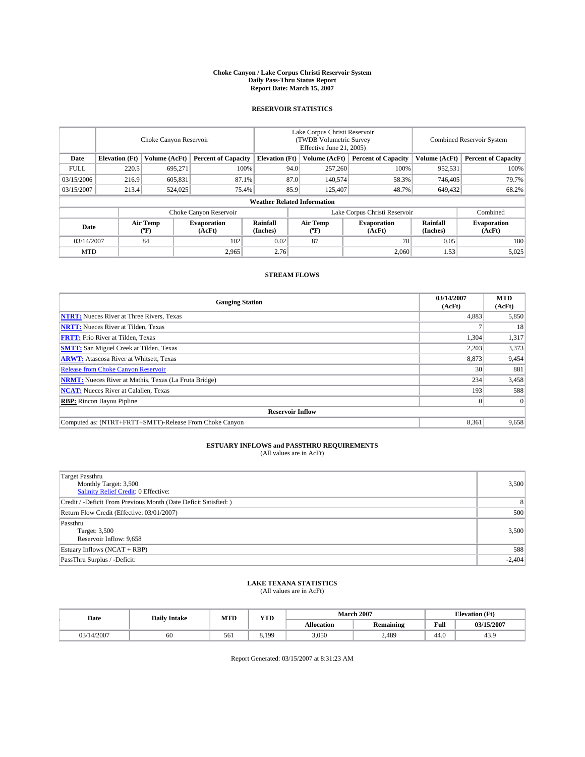#### **Choke Canyon / Lake Corpus Christi Reservoir System Daily Pass-Thru Status Report Report Date: March 15, 2007**

## **RESERVOIR STATISTICS**

|             | Choke Canyon Reservoir             |                  |                              |                       | Lake Corpus Christi Reservoir<br>(TWDB Volumetric Survey<br>Effective June 21, 2005) |                  |                               |                      | <b>Combined Reservoir System</b> |  |  |
|-------------|------------------------------------|------------------|------------------------------|-----------------------|--------------------------------------------------------------------------------------|------------------|-------------------------------|----------------------|----------------------------------|--|--|
| Date        | <b>Elevation</b> (Ft)              | Volume (AcFt)    | <b>Percent of Capacity</b>   | <b>Elevation</b> (Ft) |                                                                                      | Volume (AcFt)    | <b>Percent of Capacity</b>    | Volume (AcFt)        | <b>Percent of Capacity</b>       |  |  |
| <b>FULL</b> | 220.5                              | 695.271          | 100%                         |                       | 94.0                                                                                 | 257,260          | 100%                          | 952,531              | 100%                             |  |  |
| 03/15/2006  | 216.9                              | 605,831          | 87.1%                        |                       | 87.0                                                                                 | 140,574          | 58.3%                         | 746,405              | 79.7%                            |  |  |
| 03/15/2007  | 213.4                              | 524,025          | 75.4%                        |                       | 85.9                                                                                 | 125,407          | 48.7%                         | 649,432              | 68.2%                            |  |  |
|             | <b>Weather Related Information</b> |                  |                              |                       |                                                                                      |                  |                               |                      |                                  |  |  |
|             |                                    |                  | Choke Canyon Reservoir       |                       |                                                                                      |                  | Lake Corpus Christi Reservoir |                      | Combined                         |  |  |
| Date        |                                    | Air Temp<br>(°F) | <b>Evaporation</b><br>(AcFt) | Rainfall<br>(Inches)  |                                                                                      | Air Temp<br>("F) | <b>Evaporation</b><br>(AcFt)  | Rainfall<br>(Inches) | <b>Evaporation</b><br>(AcFt)     |  |  |
| 03/14/2007  |                                    | 84               | 102                          | 0.02                  |                                                                                      | 87               | 78                            | 0.05                 | 180                              |  |  |
| <b>MTD</b>  |                                    |                  | 2,965                        | 2.76                  |                                                                                      |                  | 2,060                         | 1.53                 | 5,025                            |  |  |

## **STREAM FLOWS**

| <b>Gauging Station</b>                                       | 03/14/2007<br>(AcFt) | <b>MTD</b><br>(AcFt) |
|--------------------------------------------------------------|----------------------|----------------------|
| <b>NTRT:</b> Nueces River at Three Rivers, Texas             | 4,883                | 5,850                |
| <b>NRTT:</b> Nueces River at Tilden, Texas                   |                      | 18                   |
| <b>FRTT:</b> Frio River at Tilden, Texas                     | 1,304                | 1,317                |
| <b>SMTT:</b> San Miguel Creek at Tilden, Texas               | 2,203                | 3,373                |
| <b>ARWT:</b> Atascosa River at Whitsett, Texas               | 8,873                | 9,454                |
| <b>Release from Choke Canyon Reservoir</b>                   | 30                   | 881                  |
| <b>NRMT:</b> Nueces River at Mathis, Texas (La Fruta Bridge) | 234                  | 3,458                |
| <b>NCAT:</b> Nueces River at Calallen, Texas                 | 193                  | 588                  |
| <b>RBP:</b> Rincon Bayou Pipline                             |                      | $\Omega$             |
| <b>Reservoir Inflow</b>                                      |                      |                      |
| Computed as: (NTRT+FRTT+SMTT)-Release From Choke Canyon      | 8,361                | 9,658                |

# **ESTUARY INFLOWS and PASSTHRU REQUIREMENTS**<br>(All values are in AcFt)

| <b>Target Passthru</b><br>Monthly Target: 3,500<br>Salinity Relief Credit: 0 Effective: | 3,500    |
|-----------------------------------------------------------------------------------------|----------|
| Credit / -Deficit From Previous Month (Date Deficit Satisfied: )                        | 8        |
| Return Flow Credit (Effective: 03/01/2007)                                              | 500      |
| Passthru<br>Target: 3,500<br>Reservoir Inflow: 9,658                                    | 3,500    |
| Estuary Inflows (NCAT + RBP)                                                            | 588      |
| PassThru Surplus / -Deficit:                                                            | $-2,404$ |

# **LAKE TEXANA STATISTICS** (All values are in AcFt)

| Date       | <b>Daily Intake</b> | MTD | <b>YTD</b> |                   | <b>March 2007</b> | <b>Elevation</b> (Ft) |            |
|------------|---------------------|-----|------------|-------------------|-------------------|-----------------------|------------|
|            |                     |     |            | <b>Allocation</b> | <b>Remaining</b>  | Full                  | 03/15/2007 |
| 03/14/2007 | 60                  | 561 | 6.190      | 3,050             | 2.489             | 44.0                  | 43.9       |

Report Generated: 03/15/2007 at 8:31:23 AM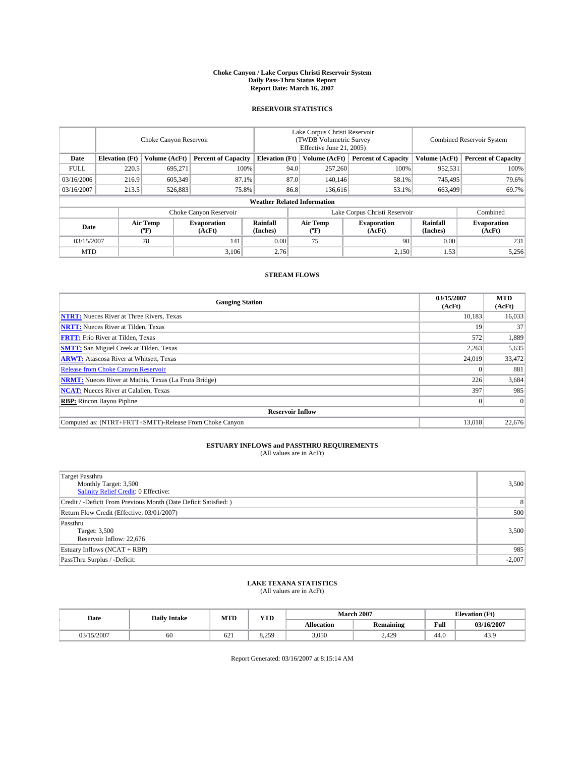#### **Choke Canyon / Lake Corpus Christi Reservoir System Daily Pass-Thru Status Report Report Date: March 16, 2007**

## **RESERVOIR STATISTICS**

|             | Choke Canyon Reservoir             |                  |                              |                       | Lake Corpus Christi Reservoir<br>(TWDB Volumetric Survey<br>Effective June 21, 2005) |                                           |                               |                      | Combined Reservoir System    |  |  |
|-------------|------------------------------------|------------------|------------------------------|-----------------------|--------------------------------------------------------------------------------------|-------------------------------------------|-------------------------------|----------------------|------------------------------|--|--|
| Date        | <b>Elevation</b> (Ft)              | Volume (AcFt)    | <b>Percent of Capacity</b>   | <b>Elevation</b> (Ft) |                                                                                      | Volume (AcFt)                             | <b>Percent of Capacity</b>    | Volume (AcFt)        | <b>Percent of Capacity</b>   |  |  |
| <b>FULL</b> | 220.5                              | 695.271          | 100%                         |                       | 94.0                                                                                 | 257,260                                   | 100%                          | 952,531              | 100%                         |  |  |
| 03/16/2006  | 216.9                              | 605,349          | 87.1%                        |                       | 87.0                                                                                 | 140,146                                   | 58.1%                         | 745,495              | 79.6%                        |  |  |
| 03/16/2007  | 213.5                              | 526,883          | 75.8%                        |                       | 86.8                                                                                 | 136,616                                   | 53.1%                         | 663,499              | 69.7%                        |  |  |
|             | <b>Weather Related Information</b> |                  |                              |                       |                                                                                      |                                           |                               |                      |                              |  |  |
|             |                                    |                  | Choke Canyon Reservoir       |                       |                                                                                      |                                           | Lake Corpus Christi Reservoir |                      | Combined                     |  |  |
| Date        |                                    | Air Temp<br>(°F) | <b>Evaporation</b><br>(AcFt) | Rainfall<br>(Inches)  |                                                                                      | Air Temp<br>$({}^{\mathrm{o}}\mathrm{F})$ | <b>Evaporation</b><br>(AcFt)  | Rainfall<br>(Inches) | <b>Evaporation</b><br>(AcFt) |  |  |
| 03/15/2007  |                                    | 78               | 141                          | 0.00                  |                                                                                      | 75                                        | 90                            | 0.00                 | 231                          |  |  |
| <b>MTD</b>  |                                    |                  | 3,106                        | 2.76                  |                                                                                      |                                           | 2,150                         | 1.53                 | 5,256                        |  |  |

## **STREAM FLOWS**

| <b>Gauging Station</b>                                       | 03/15/2007<br>(AcFt) | <b>MTD</b><br>(AcFt) |
|--------------------------------------------------------------|----------------------|----------------------|
| <b>NTRT:</b> Nueces River at Three Rivers, Texas             | 10,183               | 16,033               |
| <b>NRTT:</b> Nueces River at Tilden, Texas                   | 19                   | 37                   |
| <b>FRTT:</b> Frio River at Tilden, Texas                     | 572                  | 1,889                |
| <b>SMTT:</b> San Miguel Creek at Tilden, Texas               | 2,263                | 5,635                |
| <b>ARWT:</b> Atascosa River at Whitsett, Texas               | 24,019               | 33,472               |
| <b>Release from Choke Canyon Reservoir</b>                   |                      | 881                  |
| <b>NRMT:</b> Nueces River at Mathis, Texas (La Fruta Bridge) | 226                  | 3,684                |
| <b>NCAT:</b> Nueces River at Calallen, Texas                 | 397                  | 985                  |
| <b>RBP:</b> Rincon Bayou Pipline                             |                      | $\Omega$             |
| <b>Reservoir Inflow</b>                                      |                      |                      |
| Computed as: (NTRT+FRTT+SMTT)-Release From Choke Canyon      | 13.018               | 22.676               |

# **ESTUARY INFLOWS and PASSTHRU REQUIREMENTS**<br>(All values are in AcFt)

| <b>Target Passthru</b><br>Monthly Target: 3,500<br>Salinity Relief Credit: 0 Effective: | 3,500    |
|-----------------------------------------------------------------------------------------|----------|
| Credit / -Deficit From Previous Month (Date Deficit Satisfied: )                        | 8        |
| Return Flow Credit (Effective: 03/01/2007)                                              | 500      |
| Passthru<br>Target: 3,500<br>Reservoir Inflow: 22,676                                   | 3,500    |
| Estuary Inflows (NCAT + RBP)                                                            | 985      |
| PassThru Surplus / -Deficit:                                                            | $-2,007$ |

# **LAKE TEXANA STATISTICS** (All values are in AcFt)

| Date     | <b>Daily Intake</b> | <b>MTD</b> | $\mathbf{v}$<br>1 I D |                   | <b>March 2007</b> |      | <b>Elevation</b> (Ft) |
|----------|---------------------|------------|-----------------------|-------------------|-------------------|------|-----------------------|
|          |                     |            |                       | <b>Allocation</b> | <b>Remaining</b>  | Full | 03/16/2007            |
| /15/2007 | 60                  | 62         | 8 750<br><i></i>      | 3.050             | 2.429             | 44.0 | 43.9                  |

Report Generated: 03/16/2007 at 8:15:14 AM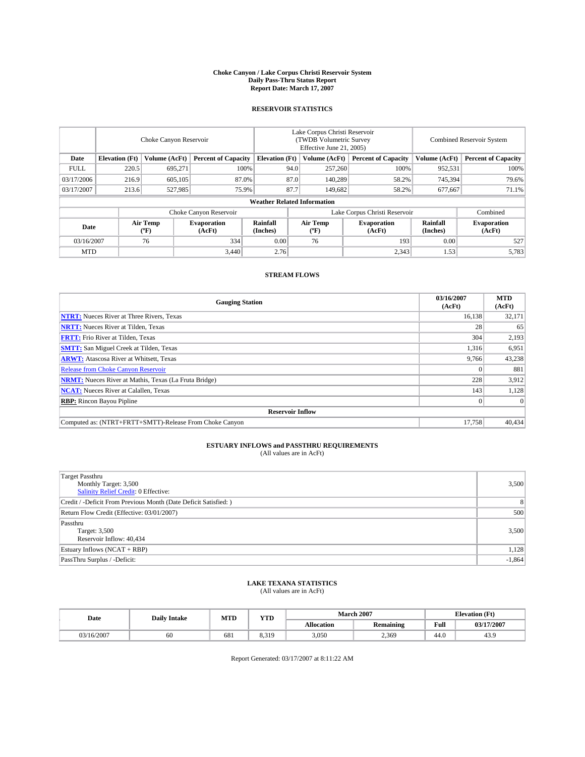#### **Choke Canyon / Lake Corpus Christi Reservoir System Daily Pass-Thru Status Report Report Date: March 17, 2007**

## **RESERVOIR STATISTICS**

|             | Choke Canyon Reservoir             |                  |                              |                       | Lake Corpus Christi Reservoir<br>(TWDB Volumetric Survey<br>Effective June 21, 2005) |                  |                               |                      | Combined Reservoir System    |  |  |
|-------------|------------------------------------|------------------|------------------------------|-----------------------|--------------------------------------------------------------------------------------|------------------|-------------------------------|----------------------|------------------------------|--|--|
| Date        | <b>Elevation</b> (Ft)              | Volume (AcFt)    | <b>Percent of Capacity</b>   | <b>Elevation</b> (Ft) |                                                                                      | Volume (AcFt)    | <b>Percent of Capacity</b>    | Volume (AcFt)        | <b>Percent of Capacity</b>   |  |  |
| <b>FULL</b> | 220.5                              | 695,271          | 100%                         |                       | 94.0                                                                                 | 257,260          | 100%                          | 952,531              | 100%                         |  |  |
| 03/17/2006  | 216.9                              | 605,105          | 87.0%                        |                       | 87.0                                                                                 | 140,289          | 58.2%                         | 745,394              | 79.6%                        |  |  |
| 03/17/2007  | 213.6                              | 527,985          | 75.9%                        |                       | 87.7                                                                                 | 149,682          | 58.2%                         | 677,667              | 71.1%                        |  |  |
|             | <b>Weather Related Information</b> |                  |                              |                       |                                                                                      |                  |                               |                      |                              |  |  |
|             |                                    |                  | Choke Canyon Reservoir       |                       |                                                                                      |                  | Lake Corpus Christi Reservoir |                      | Combined                     |  |  |
| Date        |                                    | Air Temp<br>(°F) | <b>Evaporation</b><br>(AcFt) | Rainfall<br>(Inches)  |                                                                                      | Air Temp<br>("F) | <b>Evaporation</b><br>(AcFt)  | Rainfall<br>(Inches) | <b>Evaporation</b><br>(AcFt) |  |  |
| 03/16/2007  |                                    | 76               | 334                          | 0.00                  |                                                                                      | 76               | 193                           | 0.00                 | 527                          |  |  |
| <b>MTD</b>  |                                    |                  | 3.440                        | 2.76                  |                                                                                      |                  | 2,343                         | 1.53                 | 5,783                        |  |  |

## **STREAM FLOWS**

| <b>Gauging Station</b>                                       | 03/16/2007<br>(AcFt) | <b>MTD</b><br>(AcFt) |
|--------------------------------------------------------------|----------------------|----------------------|
| <b>NTRT:</b> Nueces River at Three Rivers, Texas             | 16,138               | 32,171               |
| <b>NRTT:</b> Nueces River at Tilden, Texas                   | 28                   | 65                   |
| <b>FRTT:</b> Frio River at Tilden, Texas                     | 304                  | 2,193                |
| <b>SMTT:</b> San Miguel Creek at Tilden, Texas               | 1,316                | 6,951                |
| <b>ARWT:</b> Atascosa River at Whitsett, Texas               | 9,766                | 43,238               |
| <b>Release from Choke Canyon Reservoir</b>                   |                      | 881                  |
| <b>NRMT:</b> Nueces River at Mathis, Texas (La Fruta Bridge) | 228                  | 3,912                |
| <b>NCAT:</b> Nueces River at Calallen, Texas                 | 143                  | 1,128                |
| <b>RBP:</b> Rincon Bayou Pipline                             |                      | $\Omega$             |
| <b>Reservoir Inflow</b>                                      |                      |                      |
| Computed as: (NTRT+FRTT+SMTT)-Release From Choke Canyon      | 17.758               | 40.434               |

# **ESTUARY INFLOWS and PASSTHRU REQUIREMENTS**<br>(All values are in AcFt)

| <b>Target Passthru</b><br>Monthly Target: 3,500<br>Salinity Relief Credit: 0 Effective: | 3,500    |
|-----------------------------------------------------------------------------------------|----------|
| Credit / -Deficit From Previous Month (Date Deficit Satisfied: )                        | 8        |
| Return Flow Credit (Effective: 03/01/2007)                                              | 500      |
| Passthru<br>Target: 3,500<br>Reservoir Inflow: 40,434                                   | 3,500    |
| Estuary Inflows (NCAT + RBP)                                                            | 1,128    |
| PassThru Surplus / -Deficit:                                                            | $-1,864$ |

# **LAKE TEXANA STATISTICS** (All values are in AcFt)

| Date       | <b>Daily Intake</b> | <b>MTD</b> | <b>YTD</b> |                   | <b>March 2007</b> | <b>Elevation</b> (Ft) |            |  |
|------------|---------------------|------------|------------|-------------------|-------------------|-----------------------|------------|--|
|            |                     |            |            | <b>Allocation</b> | <b>Remaining</b>  | Full                  | 03/17/2007 |  |
| 03/16/2007 | 60                  | 681        | 8.319      | 3,050             | 2,369             | 44.0                  | 43.9       |  |

Report Generated: 03/17/2007 at 8:11:22 AM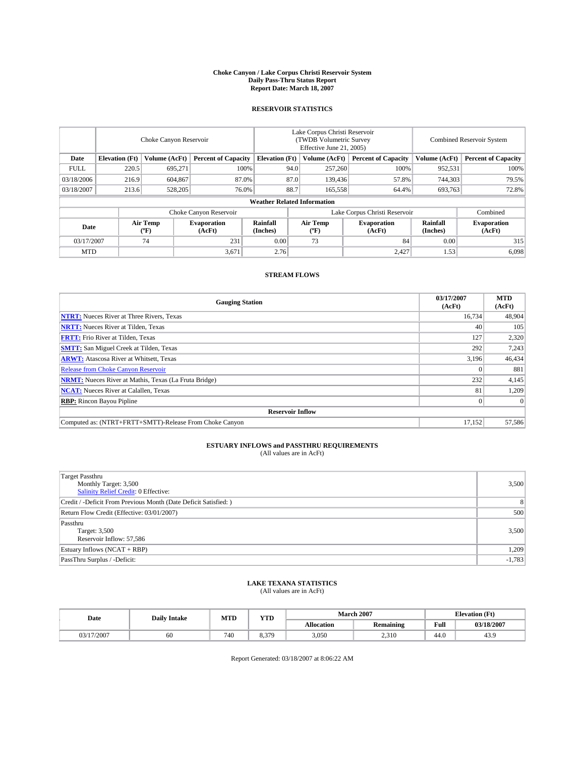#### **Choke Canyon / Lake Corpus Christi Reservoir System Daily Pass-Thru Status Report Report Date: March 18, 2007**

## **RESERVOIR STATISTICS**

|             | Choke Canyon Reservoir             |                  |                              |                       | Lake Corpus Christi Reservoir<br>(TWDB Volumetric Survey<br>Effective June 21, 2005) |                  |                               | Combined Reservoir System |                              |  |
|-------------|------------------------------------|------------------|------------------------------|-----------------------|--------------------------------------------------------------------------------------|------------------|-------------------------------|---------------------------|------------------------------|--|
| Date        | <b>Elevation</b> (Ft)              | Volume (AcFt)    | <b>Percent of Capacity</b>   | <b>Elevation</b> (Ft) |                                                                                      | Volume (AcFt)    | <b>Percent of Capacity</b>    | Volume (AcFt)             | <b>Percent of Capacity</b>   |  |
| <b>FULL</b> | 220.5                              | 695.271          | 100%                         |                       | 94.0                                                                                 | 257,260          | 100%                          | 952,531                   | 100%                         |  |
| 03/18/2006  | 216.9                              | 604.867          |                              | 87.0<br>87.0%         |                                                                                      | 139,436          | 57.8%                         | 744,303                   | 79.5%                        |  |
| 03/18/2007  | 213.6                              | 528,205          | 76.0%                        |                       | 88.7                                                                                 | 165,558          | 64.4%                         | 693,763                   | 72.8%                        |  |
|             | <b>Weather Related Information</b> |                  |                              |                       |                                                                                      |                  |                               |                           |                              |  |
|             |                                    |                  | Choke Canyon Reservoir       |                       |                                                                                      |                  | Lake Corpus Christi Reservoir |                           | Combined                     |  |
| Date        |                                    | Air Temp<br>("F) | <b>Evaporation</b><br>(AcFt) | Rainfall<br>(Inches)  |                                                                                      | Air Temp<br>("F) | <b>Evaporation</b><br>(AcFt)  | Rainfall<br>(Inches)      | <b>Evaporation</b><br>(AcFt) |  |
| 03/17/2007  |                                    | 74               | 231                          | 0.00                  |                                                                                      | 73               | 84                            | 0.00                      | 315                          |  |
| <b>MTD</b>  |                                    |                  | 3,671                        | 2.76                  |                                                                                      |                  | 2,427                         | 1.53                      | 6,098                        |  |

## **STREAM FLOWS**

| <b>Gauging Station</b>                                       | 03/17/2007<br>(AcFt) | <b>MTD</b><br>(AcFt) |
|--------------------------------------------------------------|----------------------|----------------------|
| <b>NTRT:</b> Nueces River at Three Rivers, Texas             | 16.734               | 48,904               |
| <b>NRTT:</b> Nueces River at Tilden, Texas                   | 40                   | 105                  |
| <b>FRTT:</b> Frio River at Tilden, Texas                     | 127                  | 2,320                |
| <b>SMTT:</b> San Miguel Creek at Tilden, Texas               | 292                  | 7,243                |
| <b>ARWT:</b> Atascosa River at Whitsett, Texas               | 3,196                | 46,434               |
| <b>Release from Choke Canyon Reservoir</b>                   |                      | 881                  |
| <b>NRMT:</b> Nueces River at Mathis, Texas (La Fruta Bridge) | 232                  | 4,145                |
| <b>NCAT:</b> Nueces River at Calallen, Texas                 | 81                   | 1,209                |
| <b>RBP:</b> Rincon Bayou Pipline                             |                      | $\Omega$             |
| <b>Reservoir Inflow</b>                                      |                      |                      |
| Computed as: (NTRT+FRTT+SMTT)-Release From Choke Canyon      | 17,152               | 57,586               |

# **ESTUARY INFLOWS and PASSTHRU REQUIREMENTS**<br>(All values are in AcFt)

| <b>Target Passthru</b><br>Monthly Target: 3,500<br>Salinity Relief Credit: 0 Effective: | 3,500          |
|-----------------------------------------------------------------------------------------|----------------|
| Credit / -Deficit From Previous Month (Date Deficit Satisfied: )                        | 8 <sup>1</sup> |
| Return Flow Credit (Effective: 03/01/2007)                                              | 500            |
| Passthru<br>Target: 3,500<br>Reservoir Inflow: 57,586                                   | 3.500          |
| Estuary Inflows (NCAT + RBP)                                                            | 1,209          |
| PassThru Surplus / -Deficit:                                                            | $-1,783$       |

# **LAKE TEXANA STATISTICS** (All values are in AcFt)

| Date       | <b>Daily Intake</b> |     | $\mathbf{v}$<br><b>MTD</b><br>1 I D |                   |                  | <b>March 2007</b> | <b>Elevation</b> (Ft) |  |  |
|------------|---------------------|-----|-------------------------------------|-------------------|------------------|-------------------|-----------------------|--|--|
|            |                     |     |                                     | <b>Allocation</b> | <b>Remaining</b> | Full              | 03/18/2007            |  |  |
| 03/17/2007 | 60                  | 740 | 8.379                               | 3.050             | 2.310            | 44.0              | 43.9                  |  |  |

Report Generated: 03/18/2007 at 8:06:22 AM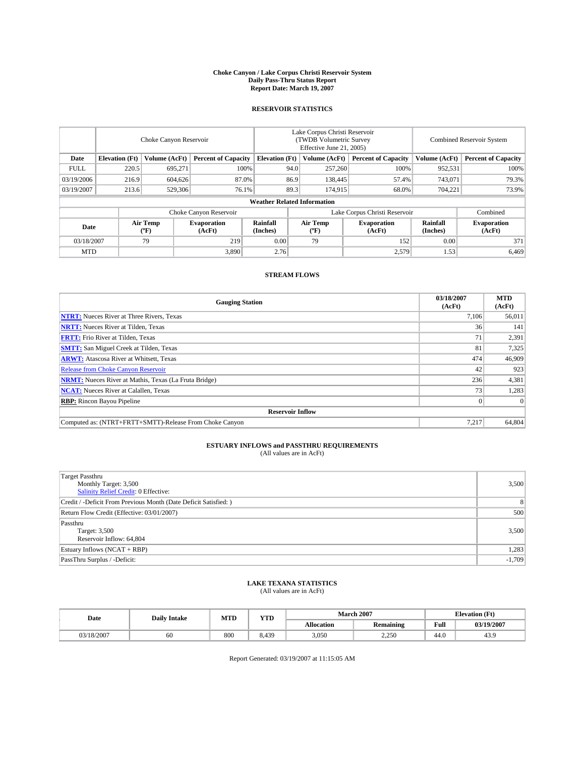#### **Choke Canyon / Lake Corpus Christi Reservoir System Daily Pass-Thru Status Report Report Date: March 19, 2007**

## **RESERVOIR STATISTICS**

|             | Choke Canyon Reservoir             |                  |                              |                       | Lake Corpus Christi Reservoir<br>(TWDB Volumetric Survey<br>Effective June 21, 2005) |                  |                               |                      | Combined Reservoir System    |  |  |
|-------------|------------------------------------|------------------|------------------------------|-----------------------|--------------------------------------------------------------------------------------|------------------|-------------------------------|----------------------|------------------------------|--|--|
| Date        | <b>Elevation</b> (Ft)              | Volume (AcFt)    | <b>Percent of Capacity</b>   | <b>Elevation</b> (Ft) |                                                                                      | Volume (AcFt)    | <b>Percent of Capacity</b>    | Volume (AcFt)        | <b>Percent of Capacity</b>   |  |  |
| <b>FULL</b> | 220.5                              | 695.271          | 100%                         |                       | 94.0                                                                                 | 257,260          | 100%                          | 952,531              | 100%                         |  |  |
| 03/19/2006  | 216.9                              | 604.626          | 87.0%                        |                       | 86.9                                                                                 | 138,445          | 57.4%                         | 743,071              | 79.3%                        |  |  |
| 03/19/2007  | 213.6                              | 529,306          | 76.1%                        |                       | 89.3                                                                                 | 174,915          | 68.0%                         | 704,221              | 73.9%                        |  |  |
|             | <b>Weather Related Information</b> |                  |                              |                       |                                                                                      |                  |                               |                      |                              |  |  |
|             |                                    |                  | Choke Canyon Reservoir       |                       |                                                                                      |                  | Lake Corpus Christi Reservoir |                      | Combined                     |  |  |
| Date        |                                    | Air Temp<br>(°F) | <b>Evaporation</b><br>(AcFt) | Rainfall<br>(Inches)  |                                                                                      | Air Temp<br>("F) | <b>Evaporation</b><br>(AcFt)  | Rainfall<br>(Inches) | <b>Evaporation</b><br>(AcFt) |  |  |
| 03/18/2007  |                                    | 79               | 219                          | 0.00                  |                                                                                      | 79               | 152                           | 0.00                 | 371                          |  |  |
| <b>MTD</b>  |                                    |                  | 3,890                        | 2.76                  |                                                                                      |                  | 2,579                         | 1.53                 | 6,469                        |  |  |

## **STREAM FLOWS**

| <b>Gauging Station</b>                                       | 03/18/2007<br>(AcFt) | <b>MTD</b><br>(AcFt) |
|--------------------------------------------------------------|----------------------|----------------------|
| <b>NTRT:</b> Nueces River at Three Rivers, Texas             | 7,106                | 56,011               |
| <b>NRTT:</b> Nueces River at Tilden, Texas                   | 36                   | 141                  |
| <b>FRTT:</b> Frio River at Tilden, Texas                     | 71                   | 2,391                |
| <b>SMTT:</b> San Miguel Creek at Tilden, Texas               | 81                   | 7,325                |
| <b>ARWT:</b> Atascosa River at Whitsett, Texas               | 474                  | 46,909               |
| <b>Release from Choke Canyon Reservoir</b>                   | 42                   | 923                  |
| <b>NRMT:</b> Nueces River at Mathis, Texas (La Fruta Bridge) | 236                  | 4,381                |
| <b>NCAT:</b> Nueces River at Calallen, Texas                 | 73                   | 1,283                |
| <b>RBP:</b> Rincon Bayou Pipeline                            |                      | $\Omega$             |
| <b>Reservoir Inflow</b>                                      |                      |                      |
| Computed as: (NTRT+FRTT+SMTT)-Release From Choke Canyon      | 7,217                | 64,804               |

# **ESTUARY INFLOWS and PASSTHRU REQUIREMENTS**<br>(All values are in AcFt)

| <b>Target Passthru</b><br>Monthly Target: 3,500<br><b>Salinity Relief Credit: 0 Effective:</b> | 3,500          |
|------------------------------------------------------------------------------------------------|----------------|
| Credit / -Deficit From Previous Month (Date Deficit Satisfied: )                               | 8 <sup>1</sup> |
| Return Flow Credit (Effective: 03/01/2007)                                                     | 500            |
| Passthru<br>Target: 3,500<br>Reservoir Inflow: 64,804                                          | 3.500          |
| Estuary Inflows (NCAT + RBP)                                                                   | 1,283          |
| PassThru Surplus / -Deficit:                                                                   | $-1,709$       |

## **LAKE TEXANA STATISTICS** (All values are in AcFt)

| Date       | <b>Daily Intake</b> | <b>MTD</b> | <b>YTD</b> |                   | <b>March 2007</b> |      | <b>Elevation</b> (Ft) |
|------------|---------------------|------------|------------|-------------------|-------------------|------|-----------------------|
|            |                     |            |            | <b>Allocation</b> | <b>Remaining</b>  | Full | 03/19/2007            |
| 03/18/2007 | 60                  | 800        | 8.439      | 3,050             | 2.250             | 44.0 | 43.9                  |

Report Generated: 03/19/2007 at 11:15:05 AM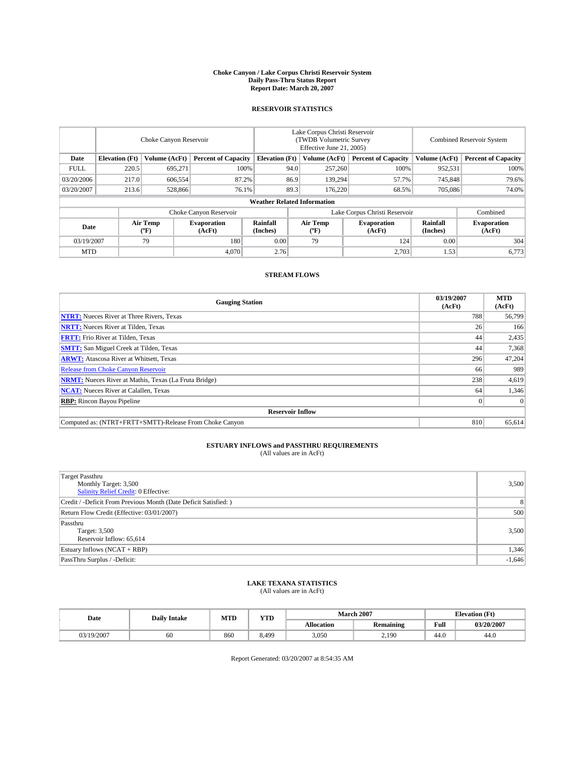#### **Choke Canyon / Lake Corpus Christi Reservoir System Daily Pass-Thru Status Report Report Date: March 20, 2007**

## **RESERVOIR STATISTICS**

|             | Choke Canyon Reservoir             |                  |                              |                             | Lake Corpus Christi Reservoir<br>(TWDB Volumetric Survey<br>Effective June 21, 2005) |                  |                               | <b>Combined Reservoir System</b> |                              |  |
|-------------|------------------------------------|------------------|------------------------------|-----------------------------|--------------------------------------------------------------------------------------|------------------|-------------------------------|----------------------------------|------------------------------|--|
| Date        | <b>Elevation</b> (Ft)              | Volume (AcFt)    | <b>Percent of Capacity</b>   | <b>Elevation</b> (Ft)       |                                                                                      | Volume (AcFt)    | <b>Percent of Capacity</b>    | Volume (AcFt)                    | <b>Percent of Capacity</b>   |  |
| <b>FULL</b> | 220.5                              | 695.271          |                              | 100%                        | 94.0                                                                                 | 257,260          | 100%                          | 952,531                          | 100%                         |  |
| 03/20/2006  | 217.0                              | 606,554          | 87.2%                        |                             | 86.9                                                                                 | 139.294          | 57.7%                         | 745,848                          | 79.6%                        |  |
| 03/20/2007  | 213.6                              | 528,866          | 76.1%                        |                             | 89.3                                                                                 | 176.220          | 68.5%                         | 705,086                          | 74.0%                        |  |
|             | <b>Weather Related Information</b> |                  |                              |                             |                                                                                      |                  |                               |                                  |                              |  |
|             |                                    |                  | Choke Canyon Reservoir       |                             |                                                                                      |                  | Lake Corpus Christi Reservoir |                                  | Combined                     |  |
| Date        |                                    | Air Temp<br>(°F) | <b>Evaporation</b><br>(AcFt) | <b>Rainfall</b><br>(Inches) |                                                                                      | Air Temp<br>("F) | <b>Evaporation</b><br>(AcFt)  | Rainfall<br>(Inches)             | <b>Evaporation</b><br>(AcFt) |  |
| 03/19/2007  |                                    | 79               | 180                          | 0.00                        |                                                                                      | 79               | 124                           | 0.00                             | 304                          |  |
| <b>MTD</b>  |                                    |                  | 4,070                        | 2.76                        |                                                                                      |                  | 2,703                         | 1.53                             | 6,773                        |  |

## **STREAM FLOWS**

| <b>Gauging Station</b>                                       | 03/19/2007<br>(AcFt) | <b>MTD</b><br>(AcFt) |
|--------------------------------------------------------------|----------------------|----------------------|
| <b>NTRT:</b> Nueces River at Three Rivers, Texas             | 788                  | 56,799               |
| <b>NRTT:</b> Nueces River at Tilden, Texas                   | 26                   | 166                  |
| <b>FRTT:</b> Frio River at Tilden, Texas                     | 44                   | 2,435                |
| <b>SMTT:</b> San Miguel Creek at Tilden, Texas               | 44                   | 7,368                |
| <b>ARWT:</b> Atascosa River at Whitsett, Texas               | 296                  | 47,204               |
| <b>Release from Choke Canyon Reservoir</b>                   | 66                   | 989                  |
| <b>NRMT:</b> Nueces River at Mathis, Texas (La Fruta Bridge) | 238                  | 4,619                |
| <b>NCAT:</b> Nueces River at Calallen, Texas                 | 64                   | 1,346                |
| <b>RBP:</b> Rincon Bayou Pipeline                            |                      | $\Omega$             |
| <b>Reservoir Inflow</b>                                      |                      |                      |
| Computed as: (NTRT+FRTT+SMTT)-Release From Choke Canyon      | 810                  | 65.614               |

# **ESTUARY INFLOWS and PASSTHRU REQUIREMENTS**<br>(All values are in AcFt)

| <b>Target Passthru</b><br>Monthly Target: 3,500<br>Salinity Relief Credit: 0 Effective: | 3,500          |
|-----------------------------------------------------------------------------------------|----------------|
| Credit / -Deficit From Previous Month (Date Deficit Satisfied: )                        | 8 <sup>1</sup> |
| Return Flow Credit (Effective: 03/01/2007)                                              | 500            |
| Passthru<br>Target: 3,500<br>Reservoir Inflow: 65,614                                   | 3,500          |
| Estuary Inflows (NCAT + RBP)                                                            | 1,346          |
| PassThru Surplus / -Deficit:                                                            | $-1,646$       |

## **LAKE TEXANA STATISTICS** (All values are in AcFt)

| Date       | <b>Daily Intake</b> | <b>MTD</b> | $\mathbf{v}$<br>1 I D |                   | <b>March 2007</b> |      | <b>Elevation</b> (Ft) |
|------------|---------------------|------------|-----------------------|-------------------|-------------------|------|-----------------------|
|            |                     |            |                       | <b>Allocation</b> | <b>Remaining</b>  | Full | 03/20/2007            |
| 03/19/2007 | 60                  | 860        | 5.49 <sup>c</sup>     | 3.050             | 2,190             | 44.0 | 44.0                  |

Report Generated: 03/20/2007 at 8:54:35 AM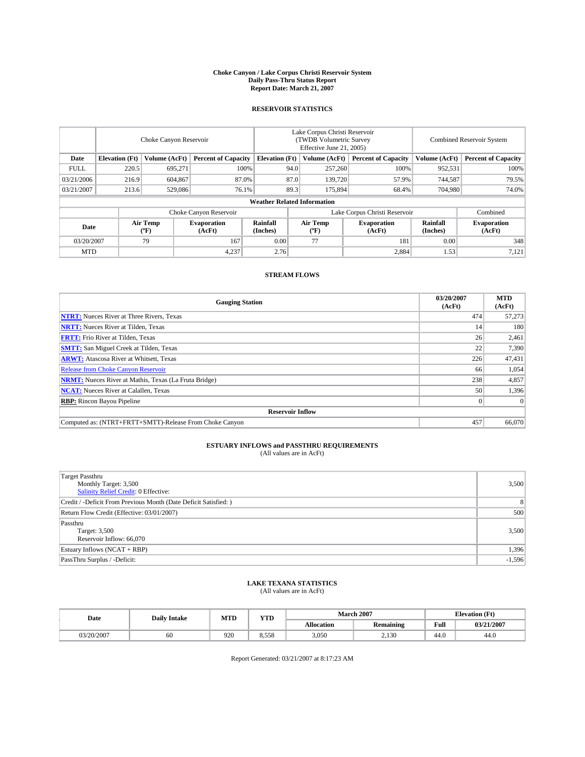#### **Choke Canyon / Lake Corpus Christi Reservoir System Daily Pass-Thru Status Report Report Date: March 21, 2007**

## **RESERVOIR STATISTICS**

|             | Choke Canyon Reservoir             |                  |                              |                       | Lake Corpus Christi Reservoir<br>(TWDB Volumetric Survey<br>Effective June 21, 2005) |                  |                               | Combined Reservoir System |                              |  |
|-------------|------------------------------------|------------------|------------------------------|-----------------------|--------------------------------------------------------------------------------------|------------------|-------------------------------|---------------------------|------------------------------|--|
| Date        | <b>Elevation</b> (Ft)              | Volume (AcFt)    | <b>Percent of Capacity</b>   | <b>Elevation</b> (Ft) |                                                                                      | Volume (AcFt)    | <b>Percent of Capacity</b>    | Volume (AcFt)             | <b>Percent of Capacity</b>   |  |
| <b>FULL</b> | 220.5                              | 695.271          | 100%                         |                       | 94.0                                                                                 | 257,260          | 100%                          | 952,531                   | 100%                         |  |
| 03/21/2006  | 216.9                              | 604.867          | 87.0%                        |                       | 87.0                                                                                 | 139,720          | 57.9%                         | 744,587                   | 79.5%                        |  |
| 03/21/2007  | 213.6                              | 529,086          | 76.1%                        |                       | 89.3                                                                                 | 175,894          | 68.4%                         | 704,980                   | 74.0%                        |  |
|             | <b>Weather Related Information</b> |                  |                              |                       |                                                                                      |                  |                               |                           |                              |  |
|             |                                    |                  | Choke Canyon Reservoir       |                       |                                                                                      |                  | Lake Corpus Christi Reservoir |                           | Combined                     |  |
| Date        |                                    | Air Temp<br>("F) | <b>Evaporation</b><br>(AcFt) | Rainfall<br>(Inches)  |                                                                                      | Air Temp<br>("F) | <b>Evaporation</b><br>(AcFt)  | Rainfall<br>(Inches)      | <b>Evaporation</b><br>(AcFt) |  |
| 03/20/2007  |                                    | 79               | 167                          | 0.00                  |                                                                                      | 77               | 181                           | 0.00                      | 348                          |  |
| <b>MTD</b>  |                                    |                  | 4,237                        | 2.76                  |                                                                                      |                  | 2,884                         | 1.53                      | 7,121                        |  |

## **STREAM FLOWS**

| <b>Gauging Station</b>                                       | 03/20/2007<br>(AcFt) | <b>MTD</b><br>(AcFt) |
|--------------------------------------------------------------|----------------------|----------------------|
| <b>NTRT:</b> Nueces River at Three Rivers, Texas             | 474                  | 57,273               |
| <b>NRTT:</b> Nueces River at Tilden, Texas                   | 14                   | 180                  |
| <b>FRTT:</b> Frio River at Tilden, Texas                     | 26                   | 2,461                |
| <b>SMTT:</b> San Miguel Creek at Tilden, Texas               | 22                   | 7,390                |
| <b>ARWT:</b> Atascosa River at Whitsett, Texas               | 226                  | 47,431               |
| <b>Release from Choke Canyon Reservoir</b>                   | 66                   | 1,054                |
| <b>NRMT:</b> Nueces River at Mathis, Texas (La Fruta Bridge) | 238                  | 4,857                |
| <b>NCAT:</b> Nueces River at Calallen, Texas                 | 50                   | 1,396                |
| <b>RBP:</b> Rincon Bayou Pipeline                            |                      | $\Omega$             |
| <b>Reservoir Inflow</b>                                      |                      |                      |
| Computed as: (NTRT+FRTT+SMTT)-Release From Choke Canyon      | 457                  | 66,070               |

# **ESTUARY INFLOWS and PASSTHRU REQUIREMENTS**<br>(All values are in AcFt)

| <b>Target Passthru</b><br>Monthly Target: 3,500<br>Salinity Relief Credit: 0 Effective: | 3,500          |
|-----------------------------------------------------------------------------------------|----------------|
| Credit / -Deficit From Previous Month (Date Deficit Satisfied: )                        | 8 <sup>1</sup> |
| Return Flow Credit (Effective: 03/01/2007)                                              | 500            |
| Passthru<br>Target: 3,500<br>Reservoir Inflow: 66,070                                   | 3,500          |
| Estuary Inflows (NCAT + RBP)                                                            | 1,396          |
| PassThru Surplus / -Deficit:                                                            | $-1,596$       |

# **LAKE TEXANA STATISTICS** (All values are in AcFt)

| Date       | <b>Daily Intake</b> | MTD | <b>YTD</b> |                   | <b>March 2007</b> |      | <b>Elevation</b> (Ft) |
|------------|---------------------|-----|------------|-------------------|-------------------|------|-----------------------|
|            |                     |     |            | <b>Allocation</b> | <b>Remaining</b>  | Full | 03/21/2007            |
| J3/20/2007 | 60                  | 920 | 8.558      | 3.050             | 2,130             | 44.0 | 44.0                  |

Report Generated: 03/21/2007 at 8:17:23 AM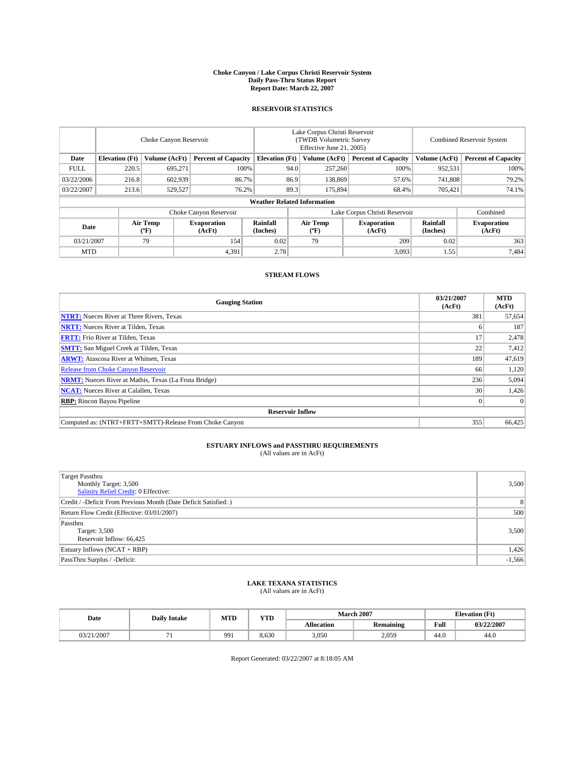#### **Choke Canyon / Lake Corpus Christi Reservoir System Daily Pass-Thru Status Report Report Date: March 22, 2007**

## **RESERVOIR STATISTICS**

|             | Choke Canyon Reservoir             |                  |                              |                       | Lake Corpus Christi Reservoir<br>(TWDB Volumetric Survey<br>Effective June 21, 2005) |                  |                               |                      | Combined Reservoir System    |  |  |
|-------------|------------------------------------|------------------|------------------------------|-----------------------|--------------------------------------------------------------------------------------|------------------|-------------------------------|----------------------|------------------------------|--|--|
| Date        | <b>Elevation</b> (Ft)              | Volume (AcFt)    | <b>Percent of Capacity</b>   | <b>Elevation</b> (Ft) |                                                                                      | Volume (AcFt)    | <b>Percent of Capacity</b>    | Volume (AcFt)        | <b>Percent of Capacity</b>   |  |  |
| <b>FULL</b> | 220.5                              | 695,271          | 100%                         |                       | 94.0                                                                                 | 257,260          | 100%                          | 952,531              | 100%                         |  |  |
| 03/22/2006  | 216.8                              | 602,939          | 86.7%                        |                       | 86.9                                                                                 | 138,869          | 57.6%                         | 741,808              | 79.2%                        |  |  |
| 03/22/2007  | 213.6                              | 529,527          | 76.2%                        |                       | 89.3                                                                                 | 175,894          | 68.4%                         | 705,421              | 74.1%                        |  |  |
|             | <b>Weather Related Information</b> |                  |                              |                       |                                                                                      |                  |                               |                      |                              |  |  |
|             |                                    |                  | Choke Canyon Reservoir       |                       |                                                                                      |                  | Lake Corpus Christi Reservoir |                      | Combined                     |  |  |
| Date        |                                    | Air Temp<br>(°F) | <b>Evaporation</b><br>(AcFt) | Rainfall<br>(Inches)  |                                                                                      | Air Temp<br>("F) | <b>Evaporation</b><br>(AcFt)  | Rainfall<br>(Inches) | <b>Evaporation</b><br>(AcFt) |  |  |
| 03/21/2007  |                                    | 79               | 154                          | 0.02                  |                                                                                      | 79               | 209                           | 0.02                 | 363                          |  |  |
| <b>MTD</b>  |                                    |                  | 4,391                        | 2.78                  |                                                                                      |                  | 3,093                         | 1.55                 | 7,484                        |  |  |

## **STREAM FLOWS**

| <b>Gauging Station</b>                                       | 03/21/2007<br>(AcFt) | <b>MTD</b><br>(AcFt) |
|--------------------------------------------------------------|----------------------|----------------------|
| <b>NTRT:</b> Nueces River at Three Rivers, Texas             | 381                  | 57,654               |
| <b>NRTT:</b> Nueces River at Tilden, Texas                   |                      | 187                  |
| <b>FRTT:</b> Frio River at Tilden, Texas                     | 17                   | 2,478                |
| <b>SMTT:</b> San Miguel Creek at Tilden, Texas               | 22                   | 7,412                |
| <b>ARWT:</b> Atascosa River at Whitsett, Texas               | 189                  | 47,619               |
| <b>Release from Choke Canyon Reservoir</b>                   | 66                   | 1,120                |
| <b>NRMT:</b> Nueces River at Mathis, Texas (La Fruta Bridge) | 236                  | 5,094                |
| <b>NCAT:</b> Nueces River at Calallen, Texas                 | 30                   | 1,426                |
| <b>RBP:</b> Rincon Bayou Pipeline                            |                      | $\Omega$             |
| <b>Reservoir Inflow</b>                                      |                      |                      |
| Computed as: (NTRT+FRTT+SMTT)-Release From Choke Canyon      | 355                  | 66.425               |

# **ESTUARY INFLOWS and PASSTHRU REQUIREMENTS**<br>(All values are in AcFt)

| <b>Target Passthru</b><br>Monthly Target: 3,500<br>Salinity Relief Credit: 0 Effective: | 3,500          |
|-----------------------------------------------------------------------------------------|----------------|
| Credit / -Deficit From Previous Month (Date Deficit Satisfied: )                        | 8 <sup>1</sup> |
| Return Flow Credit (Effective: 03/01/2007)                                              | 500            |
| Passthru<br>Target: 3,500<br>Reservoir Inflow: 66,425                                   | 3,500          |
| Estuary Inflows (NCAT + RBP)                                                            | 1,426          |
| PassThru Surplus / -Deficit:                                                            | $-1,566$       |

## **LAKE TEXANA STATISTICS** (All values are in AcFt)

| Date       | <b>Daily Intake</b> | <b>MTD</b> | $\mathbf{v}$<br>1 I D |                   | <b>March 2007</b> | <b>Elevation</b> (Ft) |            |
|------------|---------------------|------------|-----------------------|-------------------|-------------------|-----------------------|------------|
|            |                     |            |                       | <b>Allocation</b> | <b>Remaining</b>  | Full                  | 03/22/2007 |
| 03/21/2007 |                     | 991        | 8.630                 | 3.050             | 2,059             | 44.0                  | 44.0       |

Report Generated: 03/22/2007 at 8:18:05 AM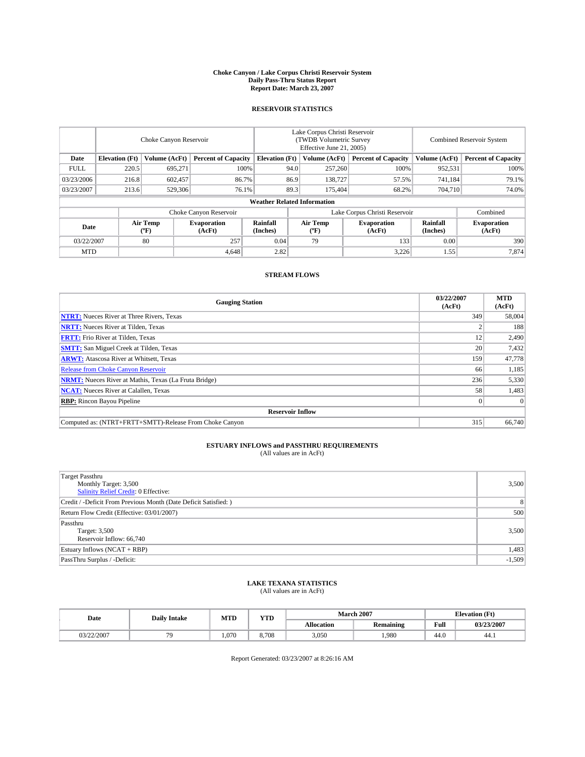#### **Choke Canyon / Lake Corpus Christi Reservoir System Daily Pass-Thru Status Report Report Date: March 23, 2007**

## **RESERVOIR STATISTICS**

|             | Choke Canyon Reservoir             |                  |                              |                       | Lake Corpus Christi Reservoir<br>(TWDB Volumetric Survey<br>Effective June 21, 2005) |                  |                               | <b>Combined Reservoir System</b> |                              |  |
|-------------|------------------------------------|------------------|------------------------------|-----------------------|--------------------------------------------------------------------------------------|------------------|-------------------------------|----------------------------------|------------------------------|--|
| Date        | <b>Elevation</b> (Ft)              | Volume (AcFt)    | <b>Percent of Capacity</b>   | <b>Elevation</b> (Ft) |                                                                                      | Volume (AcFt)    | <b>Percent of Capacity</b>    | Volume (AcFt)                    | <b>Percent of Capacity</b>   |  |
| <b>FULL</b> | 220.5                              | 695.271          |                              | 100%                  | 94.0                                                                                 | 257,260          | 100%                          | 952,531                          | 100%                         |  |
| 03/23/2006  | 216.8                              | 602,457          |                              | 86.7%                 | 86.9                                                                                 | 138,727          | 57.5%                         | 741,184                          | 79.1%                        |  |
| 03/23/2007  | 213.6                              | 529,306          |                              | 76.1%                 | 89.3                                                                                 | 175,404          | 68.2%                         | 704,710                          | 74.0%                        |  |
|             | <b>Weather Related Information</b> |                  |                              |                       |                                                                                      |                  |                               |                                  |                              |  |
|             |                                    |                  | Choke Canyon Reservoir       |                       |                                                                                      |                  | Lake Corpus Christi Reservoir |                                  | Combined                     |  |
| Date        |                                    | Air Temp<br>(°F) | <b>Evaporation</b><br>(AcFt) | Rainfall<br>(Inches)  |                                                                                      | Air Temp<br>("F) | <b>Evaporation</b><br>(AcFt)  | Rainfall<br>(Inches)             | <b>Evaporation</b><br>(AcFt) |  |
| 03/22/2007  |                                    | 80               | 257                          | 0.04                  |                                                                                      | 79               | 133                           | 0.00                             | 390                          |  |
| <b>MTD</b>  |                                    |                  | 4,648                        | 2.82                  |                                                                                      |                  | 3,226                         | 1.55                             | 7,874                        |  |

## **STREAM FLOWS**

| <b>Gauging Station</b>                                       | 03/22/2007<br>(AcFt) | <b>MTD</b><br>(AcFt) |
|--------------------------------------------------------------|----------------------|----------------------|
| <b>NTRT:</b> Nueces River at Three Rivers, Texas             | 349                  | 58,004               |
| <b>NRTT:</b> Nueces River at Tilden, Texas                   |                      | 188                  |
| <b>FRTT:</b> Frio River at Tilden, Texas                     | 12                   | 2,490                |
| <b>SMTT:</b> San Miguel Creek at Tilden, Texas               | 20                   | 7,432                |
| <b>ARWT:</b> Atascosa River at Whitsett, Texas               | 159                  | 47,778               |
| <b>Release from Choke Canyon Reservoir</b>                   | 66                   | 1,185                |
| <b>NRMT:</b> Nueces River at Mathis, Texas (La Fruta Bridge) | 236                  | 5,330                |
| <b>NCAT:</b> Nueces River at Calallen, Texas                 | 58                   | 1,483                |
| <b>RBP:</b> Rincon Bayou Pipeline                            |                      | $\Omega$             |
| <b>Reservoir Inflow</b>                                      |                      |                      |
| Computed as: (NTRT+FRTT+SMTT)-Release From Choke Canyon      | 315                  | 66,740               |

# **ESTUARY INFLOWS and PASSTHRU REQUIREMENTS**<br>(All values are in AcFt)

| <b>Target Passthru</b><br>Monthly Target: 3,500<br><b>Salinity Relief Credit: 0 Effective:</b> | 3,500    |
|------------------------------------------------------------------------------------------------|----------|
| Credit / -Deficit From Previous Month (Date Deficit Satisfied: )                               | 8        |
| Return Flow Credit (Effective: 03/01/2007)                                                     | 500      |
| Passthru<br>Target: 3,500<br>Reservoir Inflow: 66,740                                          | 3,500    |
| Estuary Inflows (NCAT + RBP)                                                                   | 1,483    |
| PassThru Surplus / -Deficit:                                                                   | $-1,509$ |

## **LAKE TEXANA STATISTICS** (All values are in AcFt)

| Date       | <b>Daily Intake</b> | <b>MTD</b> | $\mathbf{v}$<br>1 I D |                   | <b>March 2007</b> | <b>Elevation</b> (Ft) |            |
|------------|---------------------|------------|-----------------------|-------------------|-------------------|-----------------------|------------|
|            |                     |            |                       | <b>Allocation</b> | <b>Remaining</b>  | Full                  | 03/23/2007 |
| 03/22/2007 |                     | .070       | 8.708                 | 3.050             | .980              | 44.0                  | -44.1      |

Report Generated: 03/23/2007 at 8:26:16 AM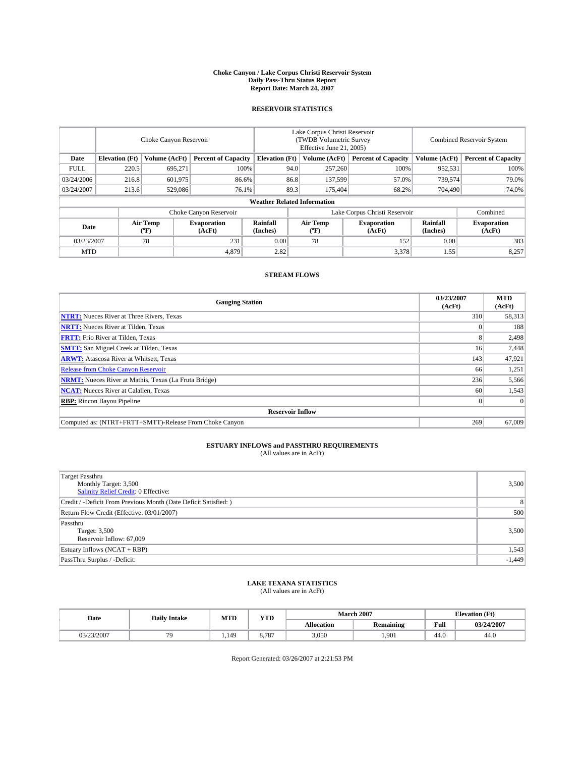#### **Choke Canyon / Lake Corpus Christi Reservoir System Daily Pass-Thru Status Report Report Date: March 24, 2007**

## **RESERVOIR STATISTICS**

|             | Choke Canyon Reservoir             |                  |                              |                       | Lake Corpus Christi Reservoir<br>(TWDB Volumetric Survey<br>Effective June 21, 2005) |                  |                               | Combined Reservoir System |                              |  |
|-------------|------------------------------------|------------------|------------------------------|-----------------------|--------------------------------------------------------------------------------------|------------------|-------------------------------|---------------------------|------------------------------|--|
| Date        | <b>Elevation</b> (Ft)              | Volume (AcFt)    | <b>Percent of Capacity</b>   | <b>Elevation</b> (Ft) |                                                                                      | Volume (AcFt)    | <b>Percent of Capacity</b>    | Volume (AcFt)             | <b>Percent of Capacity</b>   |  |
| <b>FULL</b> | 220.5                              | 695.271          | 100%                         |                       | 94.0                                                                                 | 257,260          | 100%                          | 952,531                   | 100%                         |  |
| 03/24/2006  | 216.8                              | 601,975          |                              | 86.8<br>86.6%         |                                                                                      | 137,599          | 57.0%                         | 739,574                   | 79.0%                        |  |
| 03/24/2007  | 213.6                              | 529,086          | 76.1%                        |                       | 89.3                                                                                 | 175,404          | 68.2%                         | 704,490                   | 74.0%                        |  |
|             | <b>Weather Related Information</b> |                  |                              |                       |                                                                                      |                  |                               |                           |                              |  |
|             |                                    |                  | Choke Canyon Reservoir       |                       |                                                                                      |                  | Lake Corpus Christi Reservoir |                           | Combined                     |  |
| Date        |                                    | Air Temp<br>(°F) | <b>Evaporation</b><br>(AcFt) | Rainfall<br>(Inches)  |                                                                                      | Air Temp<br>("F) | <b>Evaporation</b><br>(AcFt)  | Rainfall<br>(Inches)      | <b>Evaporation</b><br>(AcFt) |  |
| 03/23/2007  |                                    | 78               | 231                          | 0.00                  |                                                                                      | 78               | 152                           | 0.00                      | 383                          |  |
| <b>MTD</b>  |                                    |                  | 4,879                        | 2.82                  |                                                                                      |                  | 3,378                         | 1.55                      | 8,257                        |  |

## **STREAM FLOWS**

| <b>Gauging Station</b>                                       | 03/23/2007<br>(AcFt) | <b>MTD</b><br>(AcFt) |
|--------------------------------------------------------------|----------------------|----------------------|
| <b>NTRT:</b> Nueces River at Three Rivers, Texas             | 310                  | 58,313               |
| <b>NRTT:</b> Nueces River at Tilden, Texas                   |                      | 188                  |
| <b>FRTT:</b> Frio River at Tilden, Texas                     |                      | 2,498                |
| <b>SMTT:</b> San Miguel Creek at Tilden, Texas               | 16                   | 7,448                |
| <b>ARWT:</b> Atascosa River at Whitsett, Texas               | 143                  | 47,921               |
| <b>Release from Choke Canyon Reservoir</b>                   | 66                   | 1,251                |
| <b>NRMT:</b> Nueces River at Mathis, Texas (La Fruta Bridge) | 236                  | 5,566                |
| <b>NCAT:</b> Nueces River at Calallen, Texas                 | 60                   | 1,543                |
| <b>RBP:</b> Rincon Bayou Pipeline                            |                      | $\Omega$             |
| <b>Reservoir Inflow</b>                                      |                      |                      |
| Computed as: (NTRT+FRTT+SMTT)-Release From Choke Canyon      | 269                  | 67,009               |

# **ESTUARY INFLOWS and PASSTHRU REQUIREMENTS**<br>(All values are in AcFt)

| <b>Target Passthru</b><br>Monthly Target: 3,500<br>Salinity Relief Credit: 0 Effective: | 3,500          |
|-----------------------------------------------------------------------------------------|----------------|
| Credit / -Deficit From Previous Month (Date Deficit Satisfied: )                        | 8 <sup>1</sup> |
| Return Flow Credit (Effective: 03/01/2007)                                              | 500            |
| Passthru<br>Target: 3,500<br>Reservoir Inflow: 67,009                                   | 3,500          |
| Estuary Inflows (NCAT + RBP)                                                            | 1,543          |
| PassThru Surplus / -Deficit:                                                            | $-1,449$       |

# **LAKE TEXANA STATISTICS** (All values are in AcFt)

| Date       | <b>Daily Intake</b> | <b>MTD</b> | $\mathbf{v}$<br>1 I D |                   | <b>March 2007</b> | <b>Elevation</b> (Ft) |            |  |
|------------|---------------------|------------|-----------------------|-------------------|-------------------|-----------------------|------------|--|
|            |                     |            |                       | <b>Allocation</b> | <b>Remaining</b>  | Full                  | 03/24/2007 |  |
| 03/23/2007 |                     | 1.149      | 0.707<br>0.70         | 3.050             | 1.901             | 44.0                  | 44.0       |  |

Report Generated: 03/26/2007 at 2:21:53 PM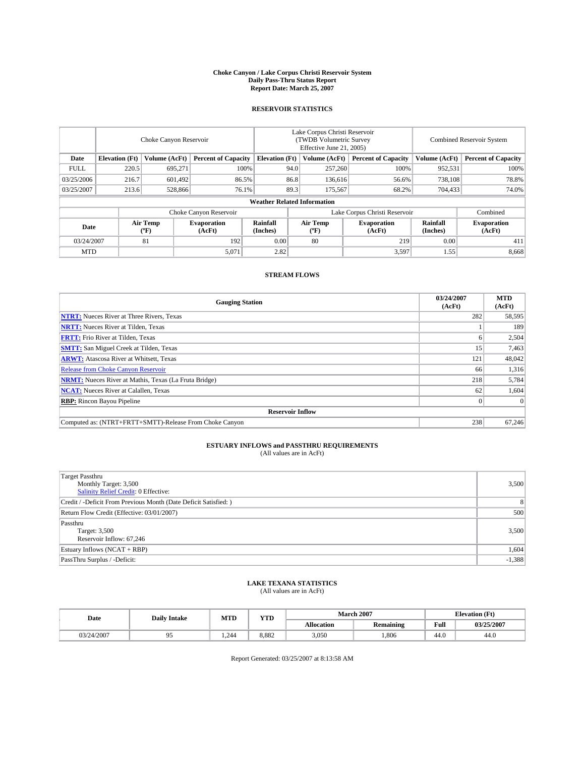#### **Choke Canyon / Lake Corpus Christi Reservoir System Daily Pass-Thru Status Report Report Date: March 25, 2007**

## **RESERVOIR STATISTICS**

|             | Choke Canyon Reservoir             |                  |                              |                             | Lake Corpus Christi Reservoir<br>(TWDB Volumetric Survey<br>Effective June 21, 2005) |                  |                              |                      | <b>Combined Reservoir System</b> |  |  |
|-------------|------------------------------------|------------------|------------------------------|-----------------------------|--------------------------------------------------------------------------------------|------------------|------------------------------|----------------------|----------------------------------|--|--|
| Date        | <b>Elevation</b> (Ft)              | Volume (AcFt)    | <b>Percent of Capacity</b>   | <b>Elevation</b> (Ft)       |                                                                                      | Volume (AcFt)    | <b>Percent of Capacity</b>   | Volume (AcFt)        | <b>Percent of Capacity</b>       |  |  |
| <b>FULL</b> | 220.5                              | 695.271          | 100%                         |                             | 94.0                                                                                 | 257,260          | 100%                         | 952,531              | 100%                             |  |  |
| 03/25/2006  | 216.7                              | 601,492          |                              | 86.8<br>86.5%               |                                                                                      | 136,616          | 56.6%                        | 738.108              | 78.8%                            |  |  |
| 03/25/2007  | 213.6                              | 528,866          | 76.1%                        |                             | 89.3                                                                                 | 175,567          | 68.2%                        | 704,433              | 74.0%                            |  |  |
|             | <b>Weather Related Information</b> |                  |                              |                             |                                                                                      |                  |                              |                      |                                  |  |  |
|             |                                    |                  | Choke Canyon Reservoir       |                             | Lake Corpus Christi Reservoir                                                        |                  |                              |                      | Combined                         |  |  |
| Date        |                                    | Air Temp<br>(°F) | <b>Evaporation</b><br>(AcFt) | <b>Rainfall</b><br>(Inches) |                                                                                      | Air Temp<br>("F) | <b>Evaporation</b><br>(AcFt) | Rainfall<br>(Inches) | <b>Evaporation</b><br>(AcFt)     |  |  |
| 03/24/2007  |                                    | 81               | 192                          | 0.00                        |                                                                                      | 80               | 219                          | 0.00                 | 411                              |  |  |
| <b>MTD</b>  |                                    |                  | 5,071                        | 2.82                        |                                                                                      |                  | 3,597                        | 1.55                 | 8,668                            |  |  |

## **STREAM FLOWS**

| <b>Gauging Station</b>                                       | 03/24/2007<br>(AcFt) | <b>MTD</b><br>(AcFt) |
|--------------------------------------------------------------|----------------------|----------------------|
| <b>NTRT:</b> Nueces River at Three Rivers, Texas             | 282                  | 58,595               |
| <b>NRTT:</b> Nueces River at Tilden, Texas                   |                      | 189                  |
| <b>FRTT:</b> Frio River at Tilden, Texas                     |                      | 2,504                |
| <b>SMTT:</b> San Miguel Creek at Tilden, Texas               | 15                   | 7,463                |
| <b>ARWT:</b> Atascosa River at Whitsett, Texas               | 121                  | 48,042               |
| <b>Release from Choke Canyon Reservoir</b>                   | 66                   | 1,316                |
| <b>NRMT:</b> Nueces River at Mathis, Texas (La Fruta Bridge) | 218                  | 5,784                |
| <b>NCAT:</b> Nueces River at Calallen, Texas                 | 62                   | 1,604                |
| <b>RBP:</b> Rincon Bayou Pipeline                            |                      | $\Omega$             |
| <b>Reservoir Inflow</b>                                      |                      |                      |
| Computed as: (NTRT+FRTT+SMTT)-Release From Choke Canyon      | 238                  | 67.246               |

# **ESTUARY INFLOWS and PASSTHRU REQUIREMENTS**<br>(All values are in AcFt)

| <b>Target Passthru</b><br>Monthly Target: 3,500<br>Salinity Relief Credit: 0 Effective: | 3,500          |
|-----------------------------------------------------------------------------------------|----------------|
| Credit / -Deficit From Previous Month (Date Deficit Satisfied: )                        | 8 <sup>1</sup> |
| Return Flow Credit (Effective: 03/01/2007)                                              | 500            |
| Passthru<br>Target: 3,500<br>Reservoir Inflow: 67,246                                   | 3,500          |
| Estuary Inflows (NCAT + RBP)                                                            | 1,604          |
| PassThru Surplus / -Deficit:                                                            | $-1,388$       |

## **LAKE TEXANA STATISTICS** (All values are in AcFt)

| Date       | <b>Daily Intake</b> | <b>MTD</b> | YTD   |                   | <b>March 2007</b> | <b>Elevation</b> (Ft) |            |
|------------|---------------------|------------|-------|-------------------|-------------------|-----------------------|------------|
|            |                     |            |       | <b>Allocation</b> | <b>Remaining</b>  | Full                  | 03/25/2007 |
| 03/24/2007 |                     | .244       | 8.882 | 3,050             | .806              | 44.0                  | 44.0       |

Report Generated: 03/25/2007 at 8:13:58 AM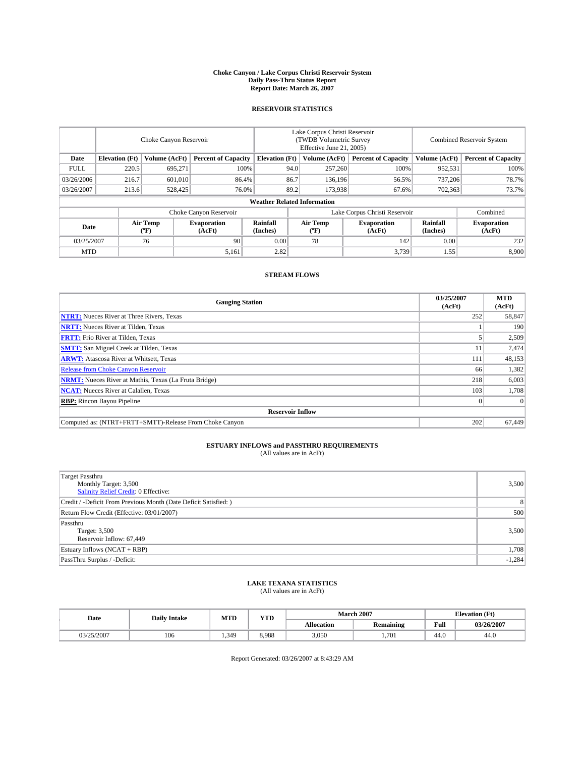#### **Choke Canyon / Lake Corpus Christi Reservoir System Daily Pass-Thru Status Report Report Date: March 26, 2007**

## **RESERVOIR STATISTICS**

|             | Choke Canyon Reservoir             |                  |                              |                       | Lake Corpus Christi Reservoir<br>(TWDB Volumetric Survey<br>Effective June 21, 2005) |                  |                               |                      | Combined Reservoir System    |  |  |
|-------------|------------------------------------|------------------|------------------------------|-----------------------|--------------------------------------------------------------------------------------|------------------|-------------------------------|----------------------|------------------------------|--|--|
| Date        | <b>Elevation</b> (Ft)              | Volume (AcFt)    | <b>Percent of Capacity</b>   | <b>Elevation</b> (Ft) |                                                                                      | Volume (AcFt)    | <b>Percent of Capacity</b>    | Volume (AcFt)        | <b>Percent of Capacity</b>   |  |  |
| <b>FULL</b> | 220.5                              | 695.271          | 100%                         |                       | 94.0                                                                                 | 257,260          | 100%                          | 952,531              | 100%                         |  |  |
| 03/26/2006  | 216.7                              | 601.010          | 86.4%                        |                       | 86.7                                                                                 | 136,196          | 56.5%                         | 737,206              | 78.7%                        |  |  |
| 03/26/2007  | 213.6                              | 528,425          | 76.0%                        |                       | 89.2                                                                                 | 173,938          | 67.6%                         | 702,363              | 73.7%                        |  |  |
|             | <b>Weather Related Information</b> |                  |                              |                       |                                                                                      |                  |                               |                      |                              |  |  |
|             |                                    |                  | Choke Canyon Reservoir       |                       |                                                                                      |                  | Lake Corpus Christi Reservoir |                      | Combined                     |  |  |
| Date        |                                    | Air Temp<br>(°F) | <b>Evaporation</b><br>(AcFt) | Rainfall<br>(Inches)  |                                                                                      | Air Temp<br>("F) | <b>Evaporation</b><br>(AcFt)  | Rainfall<br>(Inches) | <b>Evaporation</b><br>(AcFt) |  |  |
| 03/25/2007  |                                    | 76               | 90                           | 0.00                  |                                                                                      | 78               | 142                           | 0.00                 | 232                          |  |  |
| <b>MTD</b>  |                                    |                  | 5,161                        | 2.82                  |                                                                                      |                  | 3,739                         | 1.55                 | 8,900                        |  |  |

## **STREAM FLOWS**

| <b>Gauging Station</b>                                       | 03/25/2007<br>(AcFt) | <b>MTD</b><br>(AcFt) |
|--------------------------------------------------------------|----------------------|----------------------|
| <b>NTRT:</b> Nueces River at Three Rivers, Texas             | 252                  | 58,847               |
| <b>NRTT:</b> Nueces River at Tilden, Texas                   |                      | 190                  |
| <b>FRTT:</b> Frio River at Tilden, Texas                     |                      | 2,509                |
| <b>SMTT:</b> San Miguel Creek at Tilden, Texas               | 11                   | 7,474                |
| <b>ARWT:</b> Atascosa River at Whitsett, Texas               | 111                  | 48,153               |
| <b>Release from Choke Canyon Reservoir</b>                   | 66                   | 1,382                |
| <b>NRMT:</b> Nueces River at Mathis, Texas (La Fruta Bridge) | 218                  | 6,003                |
| <b>NCAT:</b> Nueces River at Calallen, Texas                 | 103                  | 1,708                |
| <b>RBP:</b> Rincon Bayou Pipeline                            |                      | $\Omega$             |
| <b>Reservoir Inflow</b>                                      |                      |                      |
| Computed as: (NTRT+FRTT+SMTT)-Release From Choke Canyon      | 202                  | 67.449               |

# **ESTUARY INFLOWS and PASSTHRU REQUIREMENTS**<br>(All values are in AcFt)

| <b>Target Passthru</b><br>Monthly Target: 3,500<br>Salinity Relief Credit: 0 Effective: | 3,500    |
|-----------------------------------------------------------------------------------------|----------|
| Credit / -Deficit From Previous Month (Date Deficit Satisfied: )                        | 8        |
| Return Flow Credit (Effective: 03/01/2007)                                              | 500      |
| Passthru<br>Target: 3,500<br>Reservoir Inflow: 67,449                                   | 3,500    |
| Estuary Inflows (NCAT + RBP)                                                            | 1,708    |
| PassThru Surplus / -Deficit:                                                            | $-1,284$ |

# **LAKE TEXANA STATISTICS** (All values are in AcFt)

| Date       | <b>Daily Intake</b> | <b>MTD</b> | $\mathbf{v}$<br>1 I D | <b>March 2007</b> |                  | <b>Elevation</b> (Ft) |            |
|------------|---------------------|------------|-----------------------|-------------------|------------------|-----------------------|------------|
|            |                     |            |                       | <b>Allocation</b> | <b>Remaining</b> | Full                  | 03/26/2007 |
| 03/25/2007 | 106                 | .349       | 8.988                 | 3.050             | 1.701            | 44.0                  | 44.0       |

Report Generated: 03/26/2007 at 8:43:29 AM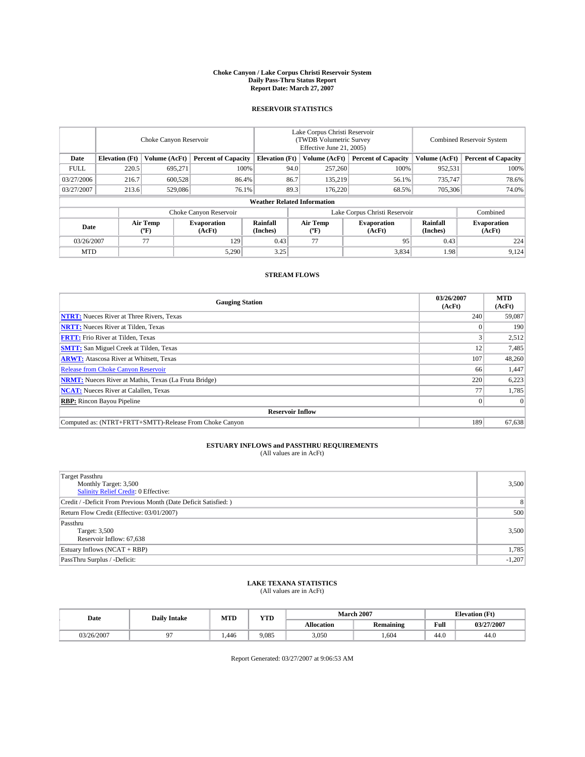#### **Choke Canyon / Lake Corpus Christi Reservoir System Daily Pass-Thru Status Report Report Date: March 27, 2007**

## **RESERVOIR STATISTICS**

|             | Choke Canyon Reservoir |                  |                              |                                    | Lake Corpus Christi Reservoir<br>(TWDB Volumetric Survey<br>Effective June 21, 2005) |                  |                               |                      | Combined Reservoir System    |  |  |
|-------------|------------------------|------------------|------------------------------|------------------------------------|--------------------------------------------------------------------------------------|------------------|-------------------------------|----------------------|------------------------------|--|--|
| Date        | <b>Elevation</b> (Ft)  | Volume (AcFt)    | <b>Percent of Capacity</b>   | <b>Elevation</b> (Ft)              |                                                                                      | Volume (AcFt)    | <b>Percent of Capacity</b>    | Volume (AcFt)        | <b>Percent of Capacity</b>   |  |  |
| <b>FULL</b> | 220.5                  | 695.271          | 100%                         |                                    | 94.0                                                                                 | 257,260          | 100%                          | 952,531              | 100%                         |  |  |
| 03/27/2006  | 216.7                  | 600.528          | 86.4%                        |                                    | 86.7                                                                                 | 135,219          | 56.1%                         | 735,747              | 78.6%                        |  |  |
| 03/27/2007  | 213.6                  | 529,086          | 76.1%                        |                                    | 89.3                                                                                 | 176.220          | 68.5%                         | 705,306              | 74.0%                        |  |  |
|             |                        |                  |                              | <b>Weather Related Information</b> |                                                                                      |                  |                               |                      |                              |  |  |
|             |                        |                  | Choke Canyon Reservoir       |                                    |                                                                                      |                  | Lake Corpus Christi Reservoir |                      | Combined                     |  |  |
| Date        |                        | Air Temp<br>(°F) | <b>Evaporation</b><br>(AcFt) | Rainfall<br>(Inches)               |                                                                                      | Air Temp<br>("F) | <b>Evaporation</b><br>(AcFt)  | Rainfall<br>(Inches) | <b>Evaporation</b><br>(AcFt) |  |  |
| 03/26/2007  |                        | 77               | 129                          | 0.43                               |                                                                                      | 77               | 95                            | 0.43                 | 224                          |  |  |
| <b>MTD</b>  |                        |                  | 5,290                        | 3.25                               |                                                                                      |                  | 3,834                         | 1.98                 | 9,124                        |  |  |

## **STREAM FLOWS**

| <b>Gauging Station</b>                                       | 03/26/2007<br>(AcFt) | <b>MTD</b><br>(AcFt) |
|--------------------------------------------------------------|----------------------|----------------------|
| <b>NTRT:</b> Nueces River at Three Rivers, Texas             | 240                  | 59,087               |
| <b>NRTT:</b> Nueces River at Tilden, Texas                   |                      | 190                  |
| <b>FRTT:</b> Frio River at Tilden, Texas                     |                      | 2,512                |
| <b>SMTT:</b> San Miguel Creek at Tilden, Texas               | 12                   | 7,485                |
| <b>ARWT:</b> Atascosa River at Whitsett, Texas               | 107                  | 48,260               |
| <b>Release from Choke Canyon Reservoir</b>                   | 66                   | 1,447                |
| <b>NRMT:</b> Nueces River at Mathis, Texas (La Fruta Bridge) | 220                  | 6,223                |
| <b>NCAT:</b> Nueces River at Calallen, Texas                 | 77                   | 1,785                |
| <b>RBP:</b> Rincon Bayou Pipeline                            |                      | $\Omega$             |
| <b>Reservoir Inflow</b>                                      |                      |                      |
| Computed as: (NTRT+FRTT+SMTT)-Release From Choke Canyon      | 189                  | 67,638               |

# **ESTUARY INFLOWS and PASSTHRU REQUIREMENTS**<br>(All values are in AcFt)

| <b>Target Passthru</b><br>Monthly Target: 3,500<br>Salinity Relief Credit: 0 Effective: | 3,500    |
|-----------------------------------------------------------------------------------------|----------|
| Credit / -Deficit From Previous Month (Date Deficit Satisfied: )                        | 8        |
| Return Flow Credit (Effective: 03/01/2007)                                              | 500      |
| Passthru<br>Target: 3,500<br>Reservoir Inflow: 67,638                                   | 3,500    |
| Estuary Inflows (NCAT + RBP)                                                            | 1,785    |
| PassThru Surplus / -Deficit:                                                            | $-1,207$ |

## **LAKE TEXANA STATISTICS** (All values are in AcFt)

| Date       | <b>Daily Intake</b> | <b>MTD</b> | $\mathbf{v}$<br>1 I D |                   | <b>March 2007</b> | <b>Elevation</b> (Ft) |            |
|------------|---------------------|------------|-----------------------|-------------------|-------------------|-----------------------|------------|
|            |                     |            |                       | <b>Allocation</b> | <b>Remaining</b>  | Full                  | 03/27/2007 |
| 03/26/2007 |                     | .446       | 9.085                 | 3,050             | 604               | 44.0                  | 44.0       |

Report Generated: 03/27/2007 at 9:06:53 AM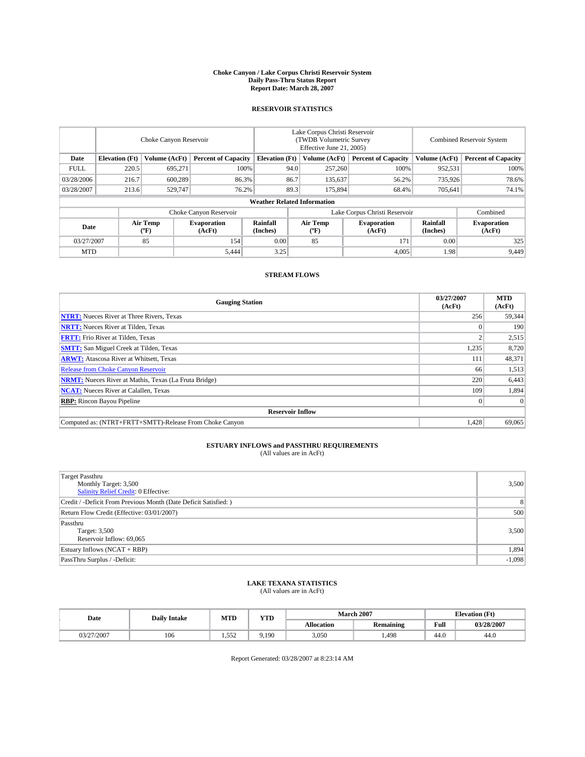#### **Choke Canyon / Lake Corpus Christi Reservoir System Daily Pass-Thru Status Report Report Date: March 28, 2007**

## **RESERVOIR STATISTICS**

|             | Choke Canyon Reservoir             |                  |                              |                       | Lake Corpus Christi Reservoir<br>(TWDB Volumetric Survey<br>Effective June 21, 2005) |                                           |                               |                      | Combined Reservoir System    |  |  |
|-------------|------------------------------------|------------------|------------------------------|-----------------------|--------------------------------------------------------------------------------------|-------------------------------------------|-------------------------------|----------------------|------------------------------|--|--|
| Date        | <b>Elevation</b> (Ft)              | Volume (AcFt)    | <b>Percent of Capacity</b>   | <b>Elevation</b> (Ft) |                                                                                      | Volume (AcFt)                             | <b>Percent of Capacity</b>    | Volume (AcFt)        | <b>Percent of Capacity</b>   |  |  |
| <b>FULL</b> | 220.5                              | 695.271          | 100%                         |                       | 94.0                                                                                 | 257,260                                   | 100%                          | 952,531              | 100%                         |  |  |
| 03/28/2006  | 216.7                              | 600.289          | 86.3%                        |                       | 86.7                                                                                 | 135,637                                   | 56.2%                         | 735,926              | 78.6%                        |  |  |
| 03/28/2007  | 213.6                              | 529,747          | 76.2%                        |                       | 89.3                                                                                 | 175,894                                   | 68.4%                         | 705,641              | 74.1%                        |  |  |
|             | <b>Weather Related Information</b> |                  |                              |                       |                                                                                      |                                           |                               |                      |                              |  |  |
|             |                                    |                  | Choke Canyon Reservoir       |                       |                                                                                      |                                           | Lake Corpus Christi Reservoir |                      | Combined                     |  |  |
| Date        |                                    | Air Temp<br>(°F) | <b>Evaporation</b><br>(AcFt) | Rainfall<br>(Inches)  |                                                                                      | Air Temp<br>$({}^{\mathrm{o}}\mathrm{F})$ | <b>Evaporation</b><br>(AcFt)  | Rainfall<br>(Inches) | <b>Evaporation</b><br>(AcFt) |  |  |
| 03/27/2007  |                                    | 85               | 154                          | 0.00                  |                                                                                      | 85                                        | 171                           | 0.00                 | 325                          |  |  |
| <b>MTD</b>  |                                    |                  | 5,444                        | 3.25                  |                                                                                      |                                           | 4,005                         | 1.98                 | 9,449                        |  |  |

## **STREAM FLOWS**

| <b>Gauging Station</b>                                       | 03/27/2007<br>(AcFt) | <b>MTD</b><br>(AcFt) |
|--------------------------------------------------------------|----------------------|----------------------|
| <b>NTRT:</b> Nueces River at Three Rivers, Texas             | 256                  | 59,344               |
| <b>NRTT:</b> Nueces River at Tilden, Texas                   |                      | 190                  |
| <b>FRTT:</b> Frio River at Tilden, Texas                     |                      | 2,515                |
| <b>SMTT:</b> San Miguel Creek at Tilden, Texas               | 1,235                | 8,720                |
| <b>ARWT:</b> Atascosa River at Whitsett, Texas               | 111                  | 48,371               |
| <b>Release from Choke Canyon Reservoir</b>                   | 66                   | 1,513                |
| <b>NRMT:</b> Nueces River at Mathis, Texas (La Fruta Bridge) | 220                  | 6,443                |
| <b>NCAT:</b> Nueces River at Calallen, Texas                 | 109                  | 1,894                |
| <b>RBP:</b> Rincon Bayou Pipeline                            |                      | $\Omega$             |
| <b>Reservoir Inflow</b>                                      |                      |                      |
| Computed as: (NTRT+FRTT+SMTT)-Release From Choke Canyon      | 1.428                | 69,065               |

# **ESTUARY INFLOWS and PASSTHRU REQUIREMENTS**<br>(All values are in AcFt)

| <b>Target Passthru</b><br>Monthly Target: 3,500<br>Salinity Relief Credit: 0 Effective: | 3,500    |
|-----------------------------------------------------------------------------------------|----------|
| Credit / -Deficit From Previous Month (Date Deficit Satisfied: )                        | 8        |
| Return Flow Credit (Effective: 03/01/2007)                                              | 500      |
| Passthru<br>Target: 3,500<br>Reservoir Inflow: 69,065                                   | 3,500    |
| Estuary Inflows (NCAT + RBP)                                                            | 1,894    |
| PassThru Surplus / -Deficit:                                                            | $-1,098$ |

# **LAKE TEXANA STATISTICS** (All values are in AcFt)

| Date       | <b>Daily Intake</b> | <b>MTD</b>   | $\mathbf{v}$<br>1 I D |                   | <b>March 2007</b> |      | <b>Elevation</b> (Ft) |
|------------|---------------------|--------------|-----------------------|-------------------|-------------------|------|-----------------------|
|            |                     |              |                       | <b>Allocation</b> | <b>Remaining</b>  | Full | 03/28/2007            |
| 03/27/2007 | 106                 | 552<br>ے رہے | 9.190                 | 3.050             | 1.498             | 44.0 | 44.0                  |

Report Generated: 03/28/2007 at 8:23:14 AM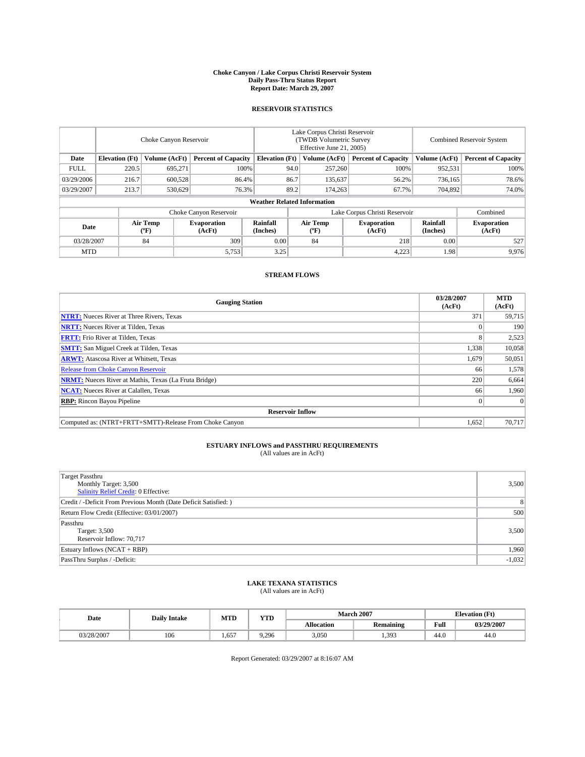#### **Choke Canyon / Lake Corpus Christi Reservoir System Daily Pass-Thru Status Report Report Date: March 29, 2007**

## **RESERVOIR STATISTICS**

|             | Choke Canyon Reservoir |                  |                              |                                    | Lake Corpus Christi Reservoir<br>(TWDB Volumetric Survey<br>Effective June 21, 2005) |                  |                               |                      | <b>Combined Reservoir System</b> |  |  |
|-------------|------------------------|------------------|------------------------------|------------------------------------|--------------------------------------------------------------------------------------|------------------|-------------------------------|----------------------|----------------------------------|--|--|
| Date        | <b>Elevation</b> (Ft)  | Volume (AcFt)    | <b>Percent of Capacity</b>   | <b>Elevation</b> (Ft)              |                                                                                      | Volume (AcFt)    | <b>Percent of Capacity</b>    | Volume (AcFt)        | <b>Percent of Capacity</b>       |  |  |
| <b>FULL</b> | 220.5                  | 695.271          | 100%                         |                                    | 94.0                                                                                 | 257,260          | 100%                          | 952,531              | 100%                             |  |  |
| 03/29/2006  | 216.7                  | 600,528          | 86.4%                        |                                    | 86.7                                                                                 | 135,637          | 56.2%                         | 736.165              | 78.6%                            |  |  |
| 03/29/2007  | 213.7                  | 530,629          | 76.3%                        |                                    | 89.2                                                                                 | 174.263          | 67.7%                         | 704.892              | 74.0%                            |  |  |
|             |                        |                  |                              | <b>Weather Related Information</b> |                                                                                      |                  |                               |                      |                                  |  |  |
|             |                        |                  | Choke Canyon Reservoir       |                                    |                                                                                      |                  | Lake Corpus Christi Reservoir |                      | Combined                         |  |  |
| Date        |                        | Air Temp<br>(°F) | <b>Evaporation</b><br>(AcFt) | Rainfall<br>(Inches)               |                                                                                      | Air Temp<br>("F) | <b>Evaporation</b><br>(AcFt)  | Rainfall<br>(Inches) | <b>Evaporation</b><br>(AcFt)     |  |  |
| 03/28/2007  |                        | 84               | 309                          | 0.00                               |                                                                                      | 84               | 218                           | 0.00                 | 527                              |  |  |
| <b>MTD</b>  |                        |                  | 5,753                        | 3.25                               |                                                                                      |                  | 4,223                         | 1.98                 | 9.976                            |  |  |

## **STREAM FLOWS**

| <b>Gauging Station</b>                                       | 03/28/2007<br>(AcFt) | <b>MTD</b><br>(AcFt) |
|--------------------------------------------------------------|----------------------|----------------------|
| <b>NTRT:</b> Nueces River at Three Rivers, Texas             | 371                  | 59,715               |
| <b>NRTT:</b> Nueces River at Tilden, Texas                   |                      | 190                  |
| <b>FRTT:</b> Frio River at Tilden, Texas                     | 8                    | 2,523                |
| <b>SMTT:</b> San Miguel Creek at Tilden, Texas               | 1,338                | 10,058               |
| <b>ARWT:</b> Atascosa River at Whitsett, Texas               | 1,679                | 50,051               |
| <b>Release from Choke Canyon Reservoir</b>                   | 66                   | 1,578                |
| <b>NRMT:</b> Nueces River at Mathis, Texas (La Fruta Bridge) | 220                  | 6,664                |
| <b>NCAT:</b> Nueces River at Calallen, Texas                 | 66                   | 1,960                |
| <b>RBP:</b> Rincon Bayou Pipeline                            |                      | $\Omega$             |
| <b>Reservoir Inflow</b>                                      |                      |                      |
| Computed as: (NTRT+FRTT+SMTT)-Release From Choke Canyon      | 1,652                | 70.717               |

# **ESTUARY INFLOWS and PASSTHRU REQUIREMENTS**<br>(All values are in AcFt)

| <b>Target Passthru</b><br>Monthly Target: 3,500<br>Salinity Relief Credit: 0 Effective: | 3,500          |
|-----------------------------------------------------------------------------------------|----------------|
| Credit / -Deficit From Previous Month (Date Deficit Satisfied: )                        | 8 <sup>1</sup> |
| Return Flow Credit (Effective: 03/01/2007)                                              | 500            |
| Passthru<br>Target: 3,500<br>Reservoir Inflow: 70,717                                   | 3,500          |
| Estuary Inflows (NCAT + RBP)                                                            | 1,960          |
| PassThru Surplus / -Deficit:                                                            | $-1,032$       |

## **LAKE TEXANA STATISTICS** (All values are in AcFt)

| Date       | <b>Daily Intake</b> | <b>MTD</b> | $\mathbf{v}$<br>1 I D |                   | <b>March 2007</b> | <b>Elevation</b> (Ft) |            |  |
|------------|---------------------|------------|-----------------------|-------------------|-------------------|-----------------------|------------|--|
|            |                     |            |                       | <b>Allocation</b> | <b>Remaining</b>  | Full                  | 03/29/2007 |  |
| 03/28/2007 | 106                 | 657        | 9.296                 | 3.050             | 1.393             | 44.0                  | 44.0       |  |

Report Generated: 03/29/2007 at 8:16:07 AM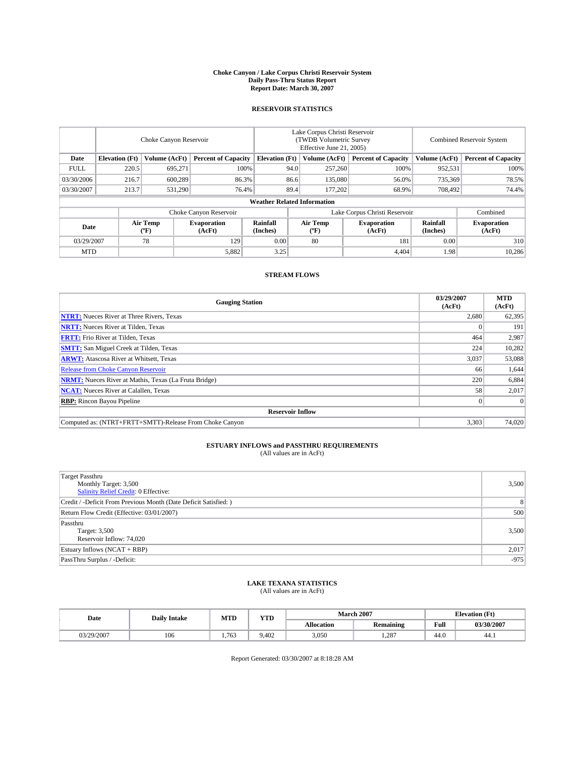#### **Choke Canyon / Lake Corpus Christi Reservoir System Daily Pass-Thru Status Report Report Date: March 30, 2007**

## **RESERVOIR STATISTICS**

|             | Choke Canyon Reservoir             |                  |                              |                       | Lake Corpus Christi Reservoir<br>(TWDB Volumetric Survey<br>Effective June 21, 2005) |                  |                               | Combined Reservoir System |                              |  |
|-------------|------------------------------------|------------------|------------------------------|-----------------------|--------------------------------------------------------------------------------------|------------------|-------------------------------|---------------------------|------------------------------|--|
| Date        | <b>Elevation</b> (Ft)              | Volume (AcFt)    | <b>Percent of Capacity</b>   | <b>Elevation</b> (Ft) |                                                                                      | Volume (AcFt)    | <b>Percent of Capacity</b>    | Volume (AcFt)             | <b>Percent of Capacity</b>   |  |
| <b>FULL</b> | 220.5                              | 695.271          | 100%                         |                       | 94.0                                                                                 | 257,260          | 100%                          | 952,531                   | 100%                         |  |
| 03/30/2006  | 216.7                              | 600.289          | 86.3%                        |                       | 86.6                                                                                 | 135,080          | 56.0%                         | 735,369                   | 78.5%                        |  |
| 03/30/2007  | 213.7                              | 531,290          | 76.4%                        |                       | 89.4                                                                                 | 177,202          | 68.9%                         | 708,492                   | 74.4%                        |  |
|             | <b>Weather Related Information</b> |                  |                              |                       |                                                                                      |                  |                               |                           |                              |  |
|             |                                    |                  | Choke Canyon Reservoir       |                       |                                                                                      |                  | Lake Corpus Christi Reservoir |                           | Combined                     |  |
| Date        |                                    | Air Temp<br>(°F) | <b>Evaporation</b><br>(AcFt) | Rainfall<br>(Inches)  |                                                                                      | Air Temp<br>("F) | <b>Evaporation</b><br>(AcFt)  | Rainfall<br>(Inches)      | <b>Evaporation</b><br>(AcFt) |  |
| 03/29/2007  |                                    | 78               | 129                          | 0.00                  |                                                                                      | 80               | 181                           | 0.00                      | 310                          |  |
| <b>MTD</b>  |                                    |                  | 5,882                        | 3.25                  |                                                                                      |                  | 4.404                         | 1.98                      | 10,286                       |  |

## **STREAM FLOWS**

| <b>Gauging Station</b>                                       | 03/29/2007<br>(AcFt) | <b>MTD</b><br>(AcFt) |
|--------------------------------------------------------------|----------------------|----------------------|
| <b>NTRT:</b> Nueces River at Three Rivers, Texas             | 2,680                | 62,395               |
| <b>NRTT:</b> Nueces River at Tilden, Texas                   |                      | 191                  |
| <b>FRTT:</b> Frio River at Tilden, Texas                     | 464                  | 2,987                |
| <b>SMTT:</b> San Miguel Creek at Tilden, Texas               | 224                  | 10,282               |
| <b>ARWT:</b> Atascosa River at Whitsett, Texas               | 3,037                | 53,088               |
| <b>Release from Choke Canyon Reservoir</b>                   | 66                   | 1,644                |
| <b>NRMT:</b> Nueces River at Mathis, Texas (La Fruta Bridge) | 220                  | 6,884                |
| <b>NCAT:</b> Nueces River at Calallen, Texas                 | 58                   | 2,017                |
| <b>RBP:</b> Rincon Bayou Pipeline                            |                      | $\Omega$             |
| <b>Reservoir Inflow</b>                                      |                      |                      |
| Computed as: (NTRT+FRTT+SMTT)-Release From Choke Canyon      | 3,303                | 74.020               |

# **ESTUARY INFLOWS and PASSTHRU REQUIREMENTS**<br>(All values are in AcFt)

| <b>Target Passthru</b><br>Monthly Target: 3,500<br>Salinity Relief Credit: 0 Effective: | 3,500  |
|-----------------------------------------------------------------------------------------|--------|
| Credit / -Deficit From Previous Month (Date Deficit Satisfied: )                        | 8      |
| Return Flow Credit (Effective: 03/01/2007)                                              | 500    |
| Passthru<br>Target: 3,500<br>Reservoir Inflow: 74,020                                   | 3,500  |
| Estuary Inflows (NCAT + RBP)                                                            | 2,017  |
| PassThru Surplus / -Deficit:                                                            | $-975$ |

# **LAKE TEXANA STATISTICS** (All values are in AcFt)

| Date       | <b>Daily Intake</b> | <b>MTD</b> | YTD   |                   | <b>March 2007</b> | <b>Elevation</b> (Ft) |            |  |
|------------|---------------------|------------|-------|-------------------|-------------------|-----------------------|------------|--|
|            |                     |            |       | <b>Allocation</b> | <b>Remaining</b>  | Full                  | 03/30/2007 |  |
| J3/29/2007 | 106                 | 1.763      | 9.402 | 3,050             | 1.287             | 44.0                  | 44.1       |  |

Report Generated: 03/30/2007 at 8:18:28 AM